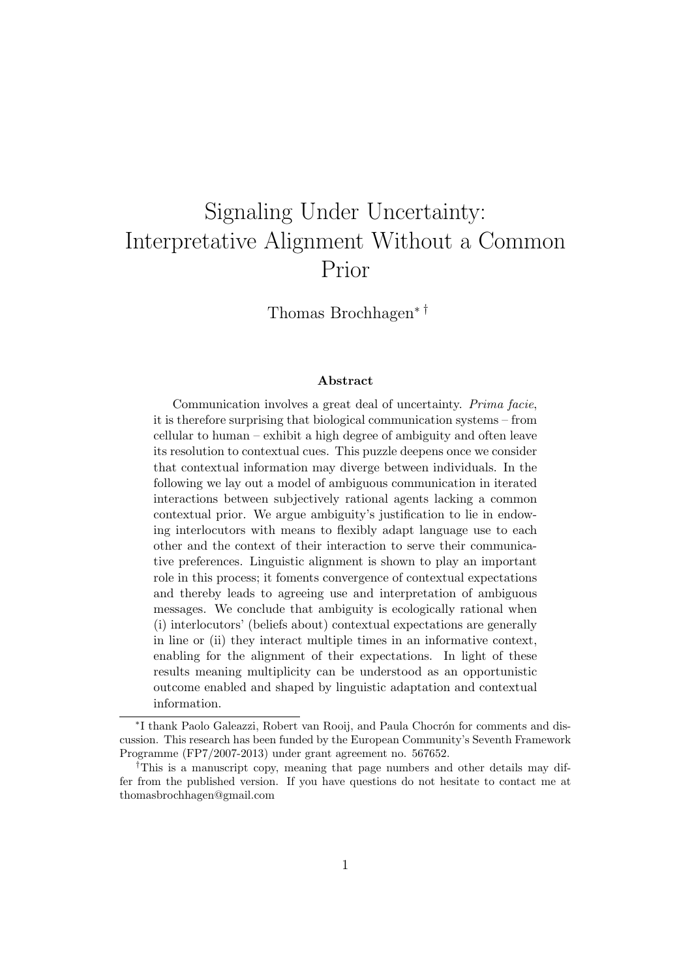# Signaling Under Uncertainty: Interpretative Alignment Without a Common Prior

Thomas Brochhagen∗ †

#### Abstract

Communication involves a great deal of uncertainty. Prima facie, it is therefore surprising that biological communication systems – from cellular to human – exhibit a high degree of ambiguity and often leave its resolution to contextual cues. This puzzle deepens once we consider that contextual information may diverge between individuals. In the following we lay out a model of ambiguous communication in iterated interactions between subjectively rational agents lacking a common contextual prior. We argue ambiguity's justification to lie in endowing interlocutors with means to flexibly adapt language use to each other and the context of their interaction to serve their communicative preferences. Linguistic alignment is shown to play an important role in this process; it foments convergence of contextual expectations and thereby leads to agreeing use and interpretation of ambiguous messages. We conclude that ambiguity is ecologically rational when (i) interlocutors' (beliefs about) contextual expectations are generally in line or (ii) they interact multiple times in an informative context, enabling for the alignment of their expectations. In light of these results meaning multiplicity can be understood as an opportunistic outcome enabled and shaped by linguistic adaptation and contextual information.

<sup>\*</sup>I thank Paolo Galeazzi, Robert van Rooij, and Paula Chocrón for comments and discussion. This research has been funded by the European Community's Seventh Framework Programme (FP7/2007-2013) under grant agreement no. 567652.

<sup>†</sup>This is a manuscript copy, meaning that page numbers and other details may differ from the published version. If you have questions do not hesitate to contact me at thomasbrochhagen@gmail.com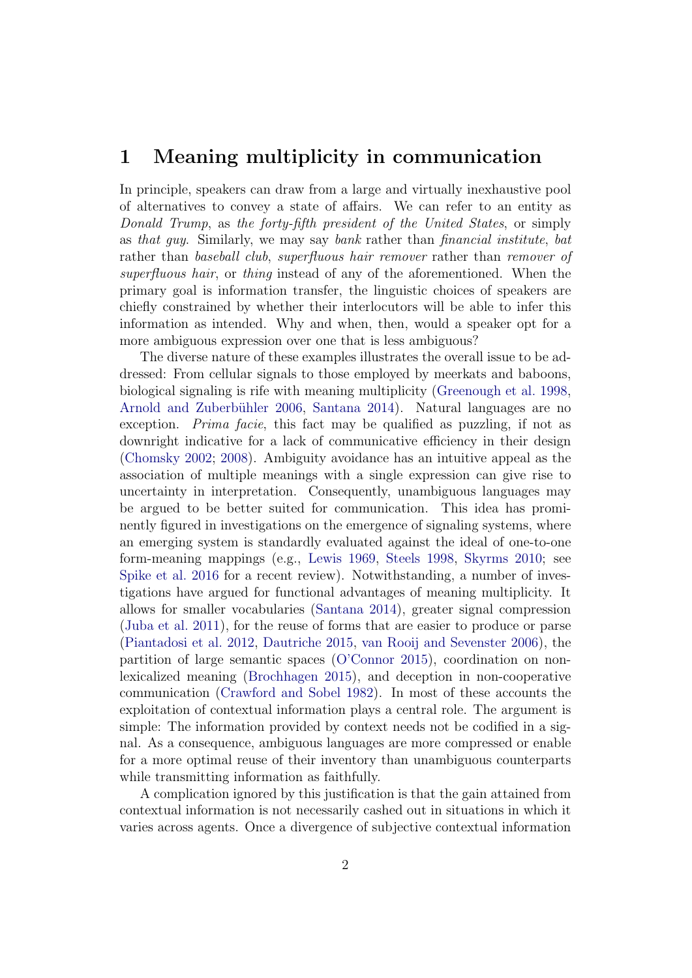### 1 Meaning multiplicity in communication

In principle, speakers can draw from a large and virtually inexhaustive pool of alternatives to convey a state of affairs. We can refer to an entity as Donald Trump, as the forty-fifth president of the United States, or simply as that guy. Similarly, we may say bank rather than financial institute, bat rather than baseball club, superfluous hair remover rather than remover of superfluous hair, or thing instead of any of the aforementioned. When the primary goal is information transfer, the linguistic choices of speakers are chiefly constrained by whether their interlocutors will be able to infer this information as intended. Why and when, then, would a speaker opt for a more ambiguous expression over one that is less ambiguous?

The diverse nature of these examples illustrates the overall issue to be addressed: From cellular signals to those employed by meerkats and baboons, biological signaling is rife with meaning multiplicity [\(Greenough et al.](#page-25-0) [1998,](#page-25-0) Arnold and Zuberbühler [2006,](#page-21-0) [Santana](#page-26-0) [2014\)](#page-26-0). Natural languages are no exception. Prima facie, this fact may be qualified as puzzling, if not as downright indicative for a lack of communicative efficiency in their design [\(Chomsky](#page-23-0) [2002;](#page-23-0) [2008\)](#page-23-1). Ambiguity avoidance has an intuitive appeal as the association of multiple meanings with a single expression can give rise to uncertainty in interpretation. Consequently, unambiguous languages may be argued to be better suited for communication. This idea has prominently figured in investigations on the emergence of signaling systems, where an emerging system is standardly evaluated against the ideal of one-to-one form-meaning mappings (e.g., [Lewis](#page-25-1) [1969,](#page-25-1) [Steels](#page-27-0) [1998,](#page-27-0) [Skyrms](#page-27-1) [2010;](#page-27-1) see [Spike et al.](#page-27-2) [2016](#page-27-2) for a recent review). Notwithstanding, a number of investigations have argued for functional advantages of meaning multiplicity. It allows for smaller vocabularies [\(Santana](#page-26-0) [2014\)](#page-26-0), greater signal compression [\(Juba et al.](#page-25-2) [2011\)](#page-25-2), for the reuse of forms that are easier to produce or parse [\(Piantadosi et al.](#page-26-1) [2012,](#page-26-1) [Dautriche](#page-23-2) [2015,](#page-23-2) [van Rooij and Sevenster](#page-26-2) [2006\)](#page-26-2), the partition of large semantic spaces [\(O'Connor](#page-26-3) [2015\)](#page-26-3), coordination on nonlexicalized meaning [\(Brochhagen](#page-23-3) [2015\)](#page-23-3), and deception in non-cooperative communication [\(Crawford and Sobel](#page-23-4) [1982\)](#page-23-4). In most of these accounts the exploitation of contextual information plays a central role. The argument is simple: The information provided by context needs not be codified in a signal. As a consequence, ambiguous languages are more compressed or enable for a more optimal reuse of their inventory than unambiguous counterparts while transmitting information as faithfully.

A complication ignored by this justification is that the gain attained from contextual information is not necessarily cashed out in situations in which it varies across agents. Once a divergence of subjective contextual information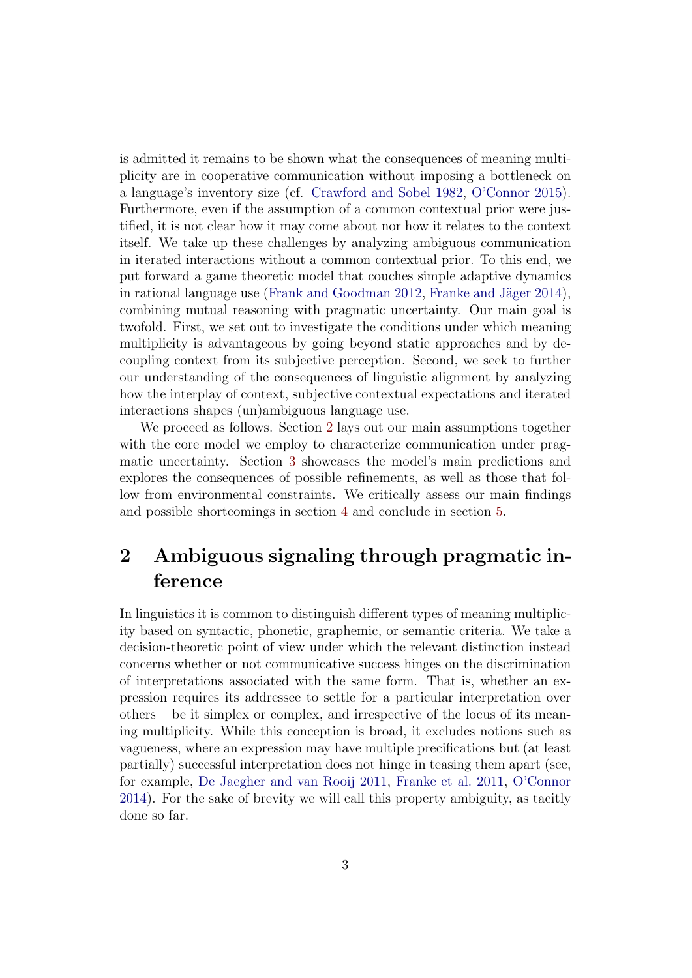is admitted it remains to be shown what the consequences of meaning multiplicity are in cooperative communication without imposing a bottleneck on a language's inventory size (cf. [Crawford and Sobel](#page-23-4) [1982,](#page-23-4) [O'Connor](#page-26-3) [2015\)](#page-26-3). Furthermore, even if the assumption of a common contextual prior were justified, it is not clear how it may come about nor how it relates to the context itself. We take up these challenges by analyzing ambiguous communication in iterated interactions without a common contextual prior. To this end, we put forward a game theoretic model that couches simple adaptive dynamics in rational language use [\(Frank and Goodman](#page-24-0) [2012,](#page-24-0) Franke and Jäger [2014\)](#page-24-1), combining mutual reasoning with pragmatic uncertainty. Our main goal is twofold. First, we set out to investigate the conditions under which meaning multiplicity is advantageous by going beyond static approaches and by decoupling context from its subjective perception. Second, we seek to further our understanding of the consequences of linguistic alignment by analyzing how the interplay of context, subjective contextual expectations and iterated interactions shapes (un)ambiguous language use.

We proceed as follows. Section [2](#page-2-0) lays out our main assumptions together with the core model we employ to characterize communication under pragmatic uncertainty. Section [3](#page-10-0) showcases the model's main predictions and explores the consequences of possible refinements, as well as those that follow from environmental constraints. We critically assess our main findings and possible shortcomings in section [4](#page-17-0) and conclude in section [5.](#page-21-1)

## <span id="page-2-0"></span>2 Ambiguous signaling through pragmatic inference

In linguistics it is common to distinguish different types of meaning multiplicity based on syntactic, phonetic, graphemic, or semantic criteria. We take a decision-theoretic point of view under which the relevant distinction instead concerns whether or not communicative success hinges on the discrimination of interpretations associated with the same form. That is, whether an expression requires its addressee to settle for a particular interpretation over others – be it simplex or complex, and irrespective of the locus of its meaning multiplicity. While this conception is broad, it excludes notions such as vagueness, where an expression may have multiple precifications but (at least partially) successful interpretation does not hinge in teasing them apart (see, for example, [De Jaegher and van Rooij](#page-23-5) [2011,](#page-23-5) [Franke et al.](#page-24-2) [2011,](#page-24-2) [O'Connor](#page-26-4) [2014\)](#page-26-4). For the sake of brevity we will call this property ambiguity, as tacitly done so far.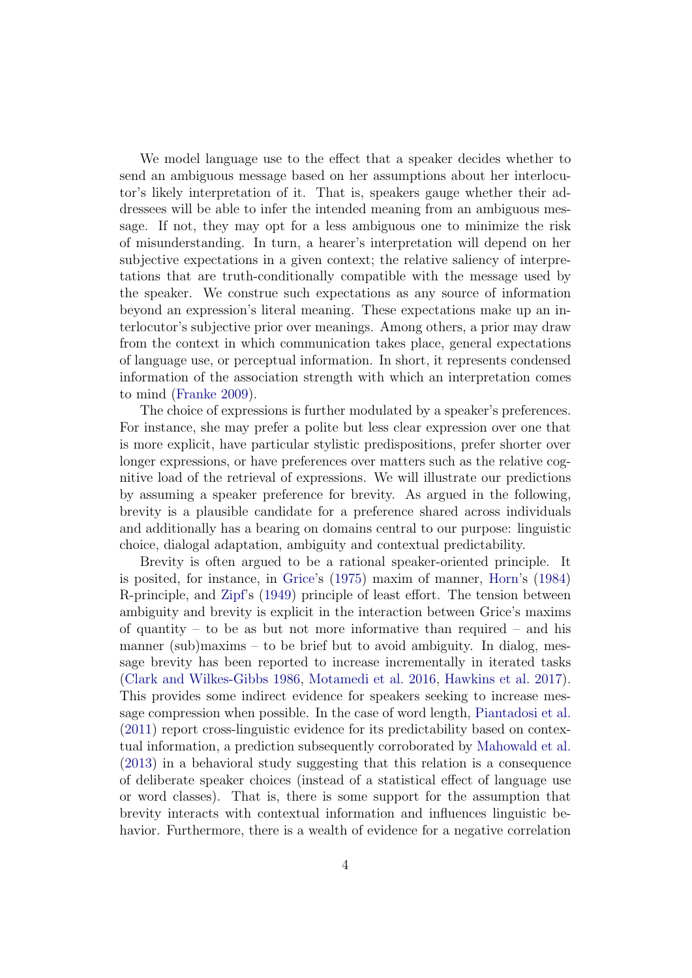We model language use to the effect that a speaker decides whether to send an ambiguous message based on her assumptions about her interlocutor's likely interpretation of it. That is, speakers gauge whether their addressees will be able to infer the intended meaning from an ambiguous message. If not, they may opt for a less ambiguous one to minimize the risk of misunderstanding. In turn, a hearer's interpretation will depend on her subjective expectations in a given context; the relative saliency of interpretations that are truth-conditionally compatible with the message used by the speaker. We construe such expectations as any source of information beyond an expression's literal meaning. These expectations make up an interlocutor's subjective prior over meanings. Among others, a prior may draw from the context in which communication takes place, general expectations of language use, or perceptual information. In short, it represents condensed information of the association strength with which an interpretation comes to mind [\(Franke](#page-24-3) [2009\)](#page-24-3).

The choice of expressions is further modulated by a speaker's preferences. For instance, she may prefer a polite but less clear expression over one that is more explicit, have particular stylistic predispositions, prefer shorter over longer expressions, or have preferences over matters such as the relative cognitive load of the retrieval of expressions. We will illustrate our predictions by assuming a speaker preference for brevity. As argued in the following, brevity is a plausible candidate for a preference shared across individuals and additionally has a bearing on domains central to our purpose: linguistic choice, dialogal adaptation, ambiguity and contextual predictability.

Brevity is often argued to be a rational speaker-oriented principle. It is posited, for instance, in [Grice'](#page-25-3)s [\(1975\)](#page-25-3) maxim of manner, [Horn'](#page-25-4)s [\(1984\)](#page-25-4) R-principle, and [Zipf'](#page-27-3)s [\(1949\)](#page-27-3) principle of least effort. The tension between ambiguity and brevity is explicit in the interaction between Grice's maxims of quantity – to be as but not more informative than required – and his manner (sub)maxims – to be brief but to avoid ambiguity. In dialog, message brevity has been reported to increase incrementally in iterated tasks [\(Clark and Wilkes-Gibbs](#page-23-6) [1986,](#page-23-6) [Motamedi et al.](#page-26-5) [2016,](#page-26-5) [Hawkins et al.](#page-25-5) [2017\)](#page-25-5). This provides some indirect evidence for speakers seeking to increase message compression when possible. In the case of word length, [Piantadosi et al.](#page-26-6) [\(2011\)](#page-26-6) report cross-linguistic evidence for its predictability based on contextual information, a prediction subsequently corroborated by [Mahowald et al.](#page-25-6) [\(2013\)](#page-25-6) in a behavioral study suggesting that this relation is a consequence of deliberate speaker choices (instead of a statistical effect of language use or word classes). That is, there is some support for the assumption that brevity interacts with contextual information and influences linguistic behavior. Furthermore, there is a wealth of evidence for a negative correlation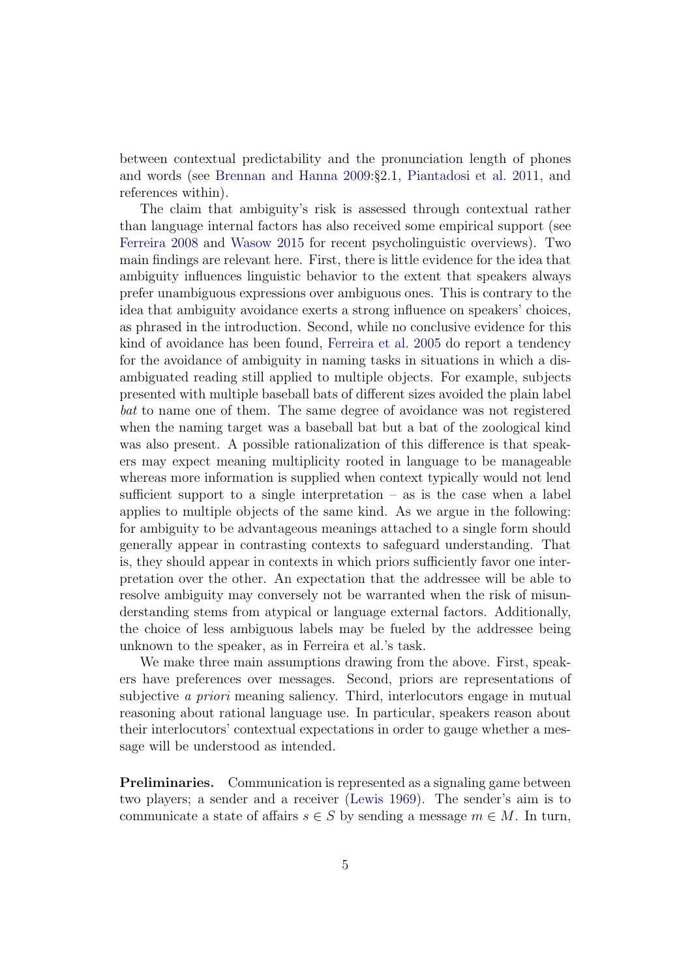between contextual predictability and the pronunciation length of phones and words (see [Brennan and Hanna](#page-23-7) [2009:](#page-23-7)§2.1, [Piantadosi et al.](#page-26-6) [2011,](#page-26-6) and references within).

The claim that ambiguity's risk is assessed through contextual rather than language internal factors has also received some empirical support (see [Ferreira](#page-24-4) [2008](#page-24-4) and [Wasow](#page-27-4) [2015](#page-27-4) for recent psycholinguistic overviews). Two main findings are relevant here. First, there is little evidence for the idea that ambiguity influences linguistic behavior to the extent that speakers always prefer unambiguous expressions over ambiguous ones. This is contrary to the idea that ambiguity avoidance exerts a strong influence on speakers' choices, as phrased in the introduction. Second, while no conclusive evidence for this kind of avoidance has been found, [Ferreira et al.](#page-24-5) [2005](#page-24-5) do report a tendency for the avoidance of ambiguity in naming tasks in situations in which a disambiguated reading still applied to multiple objects. For example, subjects presented with multiple baseball bats of different sizes avoided the plain label bat to name one of them. The same degree of avoidance was not registered when the naming target was a baseball bat but a bat of the zoological kind was also present. A possible rationalization of this difference is that speakers may expect meaning multiplicity rooted in language to be manageable whereas more information is supplied when context typically would not lend sufficient support to a single interpretation  $-$  as is the case when a label applies to multiple objects of the same kind. As we argue in the following: for ambiguity to be advantageous meanings attached to a single form should generally appear in contrasting contexts to safeguard understanding. That is, they should appear in contexts in which priors sufficiently favor one interpretation over the other. An expectation that the addressee will be able to resolve ambiguity may conversely not be warranted when the risk of misunderstanding stems from atypical or language external factors. Additionally, the choice of less ambiguous labels may be fueled by the addressee being unknown to the speaker, as in Ferreira et al.'s task.

We make three main assumptions drawing from the above. First, speakers have preferences over messages. Second, priors are representations of subjective a priori meaning saliency. Third, interlocutors engage in mutual reasoning about rational language use. In particular, speakers reason about their interlocutors' contextual expectations in order to gauge whether a message will be understood as intended.

Preliminaries. Communication is represented as a signaling game between two players; a sender and a receiver [\(Lewis](#page-25-1) [1969\)](#page-25-1). The sender's aim is to communicate a state of affairs  $s \in S$  by sending a message  $m \in M$ . In turn,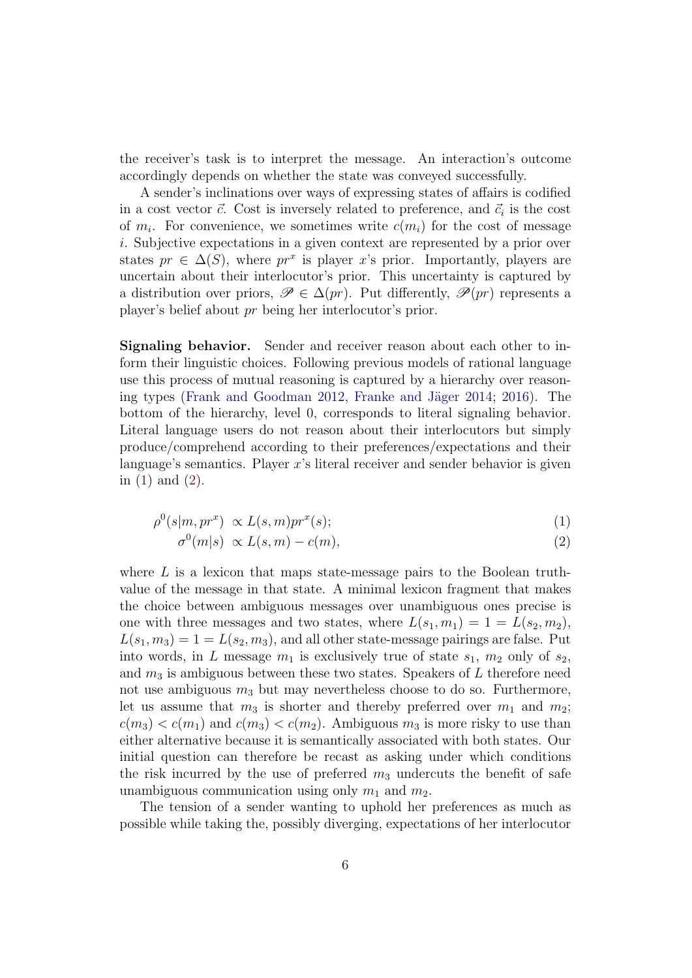the receiver's task is to interpret the message. An interaction's outcome accordingly depends on whether the state was conveyed successfully.

A sender's inclinations over ways of expressing states of affairs is codified in a cost vector  $\vec{c}$ . Cost is inversely related to preference, and  $\vec{c}_i$  is the cost of  $m_i$ . For convenience, we sometimes write  $c(m_i)$  for the cost of message i. Subjective expectations in a given context are represented by a prior over states  $pr \in \Delta(S)$ , where  $pr^x$  is player x's prior. Importantly, players are uncertain about their interlocutor's prior. This uncertainty is captured by a distribution over priors,  $\mathscr{P} \in \Delta(pr)$ . Put differently,  $\mathscr{P}(pr)$  represents a player's belief about pr being her interlocutor's prior.

Signaling behavior. Sender and receiver reason about each other to inform their linguistic choices. Following previous models of rational language use this process of mutual reasoning is captured by a hierarchy over reason-ing types [\(Frank and Goodman](#page-24-0) [2012,](#page-24-0) Franke and Jäger [2014;](#page-24-1) [2016\)](#page-24-6). The bottom of the hierarchy, level 0, corresponds to literal signaling behavior. Literal language users do not reason about their interlocutors but simply produce/comprehend according to their preferences/expectations and their language's semantics. Player x's literal receiver and sender behavior is given in  $(1)$  and  $(2)$ .

$$
\rho^0(s|m, pr^x) \propto L(s, m)pr^x(s); \tag{1}
$$

<span id="page-5-1"></span><span id="page-5-0"></span>
$$
\sigma^0(m|s) \propto L(s,m) - c(m),\tag{2}
$$

where  $L$  is a lexicon that maps state-message pairs to the Boolean truthvalue of the message in that state. A minimal lexicon fragment that makes the choice between ambiguous messages over unambiguous ones precise is one with three messages and two states, where  $L(s_1, m_1) = 1 = L(s_2, m_2)$ ,  $L(s_1, m_3) = 1 = L(s_2, m_3)$ , and all other state-message pairings are false. Put into words, in L message  $m_1$  is exclusively true of state  $s_1$ ,  $m_2$  only of  $s_2$ , and  $m_3$  is ambiguous between these two states. Speakers of L therefore need not use ambiguous  $m_3$  but may nevertheless choose to do so. Furthermore, let us assume that  $m_3$  is shorter and thereby preferred over  $m_1$  and  $m_2$ ;  $c(m_3) < c(m_1)$  and  $c(m_3) < c(m_2)$ . Ambiguous  $m_3$  is more risky to use than either alternative because it is semantically associated with both states. Our initial question can therefore be recast as asking under which conditions the risk incurred by the use of preferred  $m_3$  undercuts the benefit of safe unambiguous communication using only  $m_1$  and  $m_2$ .

The tension of a sender wanting to uphold her preferences as much as possible while taking the, possibly diverging, expectations of her interlocutor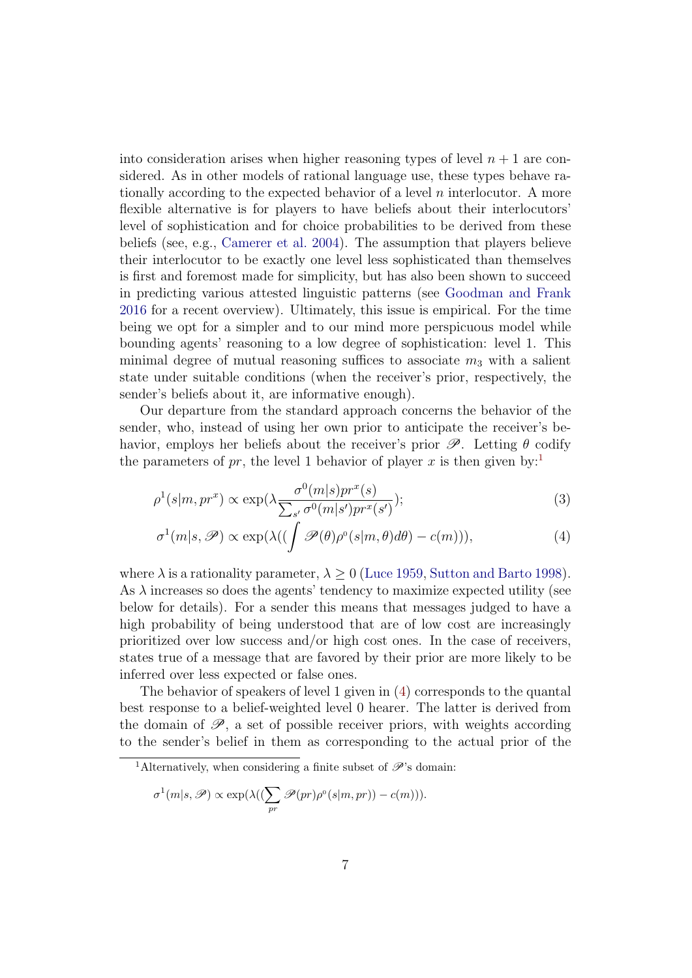into consideration arises when higher reasoning types of level  $n + 1$  are considered. As in other models of rational language use, these types behave rationally according to the expected behavior of a level n interlocutor. A more flexible alternative is for players to have beliefs about their interlocutors' level of sophistication and for choice probabilities to be derived from these beliefs (see, e.g., [Camerer et al.](#page-23-8) [2004\)](#page-23-8). The assumption that players believe their interlocutor to be exactly one level less sophisticated than themselves is first and foremost made for simplicity, but has also been shown to succeed in predicting various attested linguistic patterns (see [Goodman and Frank](#page-25-7) [2016](#page-25-7) for a recent overview). Ultimately, this issue is empirical. For the time being we opt for a simpler and to our mind more perspicuous model while bounding agents' reasoning to a low degree of sophistication: level 1. This minimal degree of mutual reasoning suffices to associate  $m_3$  with a salient state under suitable conditions (when the receiver's prior, respectively, the sender's beliefs about it, are informative enough).

Our departure from the standard approach concerns the behavior of the sender, who, instead of using her own prior to anticipate the receiver's behavior, employs her beliefs about the receiver's prior  $\mathscr{P}$ . Letting  $\theta$  codify the parameters of pr, the level [1](#page-6-0) behavior of player x is then given by:

$$
\rho^1(s|m, pr^x) \propto \exp(\lambda \frac{\sigma^0(m|s)pr^x(s)}{\sum_{s'} \sigma^0(m|s')pr^x(s')});\tag{3}
$$

<span id="page-6-1"></span>
$$
\sigma^1(m|s,\mathscr{P}) \propto \exp(\lambda((\int \mathscr{P}(\theta)\rho^0(s|m,\theta)d\theta) - c(m))), \tag{4}
$$

where  $\lambda$  is a rationality parameter,  $\lambda \geq 0$  [\(Luce](#page-25-8) [1959,](#page-25-8) [Sutton and Barto](#page-27-5) [1998\)](#page-27-5). As  $\lambda$  increases so does the agents' tendency to maximize expected utility (see below for details). For a sender this means that messages judged to have a high probability of being understood that are of low cost are increasingly prioritized over low success and/or high cost ones. In the case of receivers, states true of a message that are favored by their prior are more likely to be inferred over less expected or false ones.

The behavior of speakers of level 1 given in [\(4\)](#page-6-1) corresponds to the quantal best response to a belief-weighted level 0 hearer. The latter is derived from the domain of  $\mathscr{P}$ , a set of possible receiver priors, with weights according to the sender's belief in them as corresponding to the actual prior of the

$$
\sigma^1(m|s, \mathscr{P}) \propto \exp(\lambda((\sum_{pr} \mathscr{P}(pr)\rho^0(s|m, pr)) - c(m))).
$$

<span id="page-6-0"></span><sup>&</sup>lt;sup>1</sup>Alternatively, when considering a finite subset of  $\mathscr{P}$ 's domain: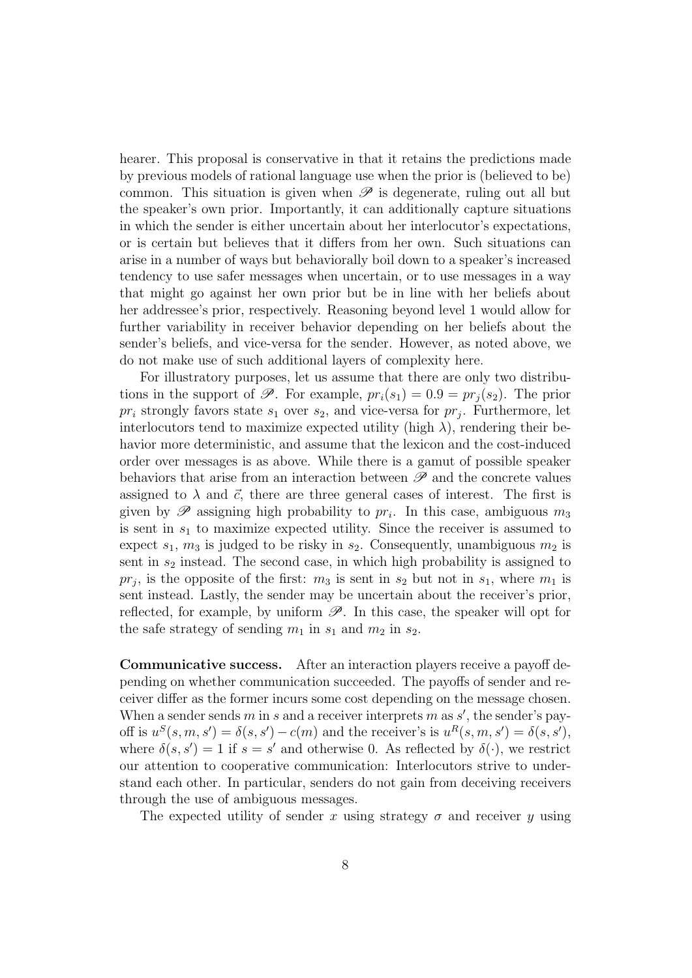hearer. This proposal is conservative in that it retains the predictions made by previous models of rational language use when the prior is (believed to be) common. This situation is given when  $\mathscr P$  is degenerate, ruling out all but the speaker's own prior. Importantly, it can additionally capture situations in which the sender is either uncertain about her interlocutor's expectations, or is certain but believes that it differs from her own. Such situations can arise in a number of ways but behaviorally boil down to a speaker's increased tendency to use safer messages when uncertain, or to use messages in a way that might go against her own prior but be in line with her beliefs about her addressee's prior, respectively. Reasoning beyond level 1 would allow for further variability in receiver behavior depending on her beliefs about the sender's beliefs, and vice-versa for the sender. However, as noted above, we do not make use of such additional layers of complexity here.

For illustratory purposes, let us assume that there are only two distributions in the support of  $\mathscr{P}$ . For example,  $pr_i(s_1) = 0.9 = pr_i(s_2)$ . The prior  $pr_i$  strongly favors state  $s_1$  over  $s_2$ , and vice-versa for  $pr_j$ . Furthermore, let interlocutors tend to maximize expected utility (high  $\lambda$ ), rendering their behavior more deterministic, and assume that the lexicon and the cost-induced order over messages is as above. While there is a gamut of possible speaker behaviors that arise from an interaction between  $\mathscr P$  and the concrete values assigned to  $\lambda$  and  $\vec{c}$ , there are three general cases of interest. The first is given by  $\mathscr P$  assigning high probability to  $pr_i$ . In this case, ambiguous  $m_3$ is sent in  $s_1$  to maximize expected utility. Since the receiver is assumed to expect  $s_1$ ,  $m_3$  is judged to be risky in  $s_2$ . Consequently, unambiguous  $m_2$  is sent in  $s_2$  instead. The second case, in which high probability is assigned to  $pr_j$ , is the opposite of the first:  $m_3$  is sent in  $s_2$  but not in  $s_1$ , where  $m_1$  is sent instead. Lastly, the sender may be uncertain about the receiver's prior, reflected, for example, by uniform  $\mathscr{P}$ . In this case, the speaker will opt for the safe strategy of sending  $m_1$  in  $s_1$  and  $m_2$  in  $s_2$ .

Communicative success. After an interaction players receive a payoff depending on whether communication succeeded. The payoffs of sender and receiver differ as the former incurs some cost depending on the message chosen. When a sender sends  $m$  in  $s$  and a receiver interprets  $m$  as  $s'$ , the sender's payoff is  $u^S(s, m, s') = \delta(s, s') - c(m)$  and the receiver's is  $u^R(s, m, s') = \delta(s, s')$ , where  $\delta(s, s') = 1$  if  $s = s'$  and otherwise 0. As reflected by  $\delta(\cdot)$ , we restrict our attention to cooperative communication: Interlocutors strive to understand each other. In particular, senders do not gain from deceiving receivers through the use of ambiguous messages.

The expected utility of sender x using strategy  $\sigma$  and receiver y using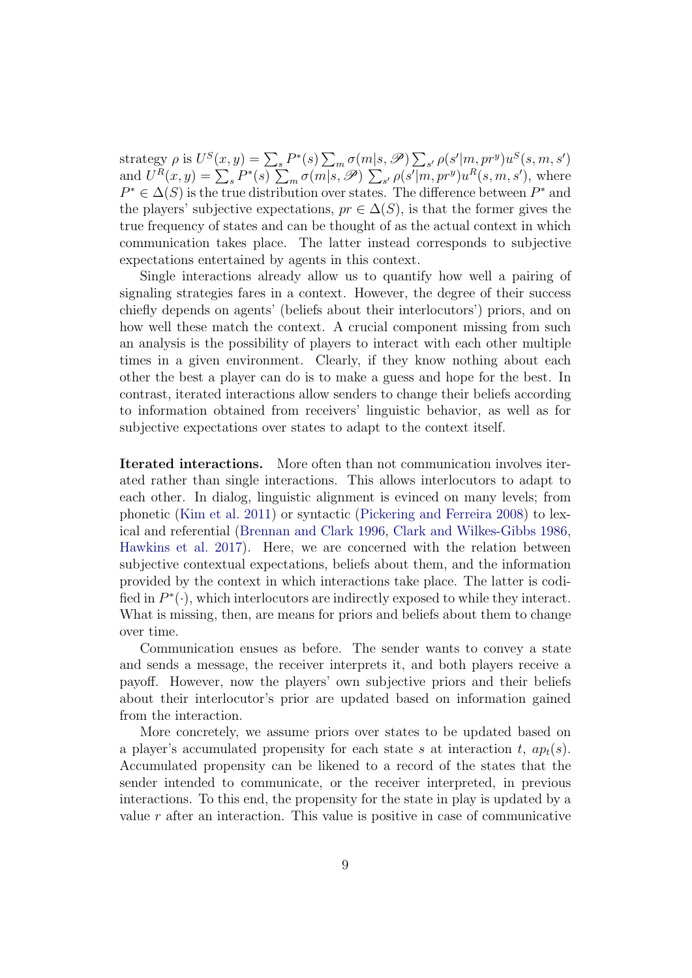strategy  $\rho$  is  $U^S(x, y) = \sum_s P^*(s) \sum_m \sigma(m|s, \mathscr{P}) \sum_{s'} \rho(s'|m, pr^y) u^S(s, m, s')$ and  $U^R(x, y) = \sum_s P^*(s) \sum_m \sigma(m|s, \mathscr{P}) \sum_{s'} \rho(s'|m, pr^y) u^R(s, m, s')$ , where  $P^* \in \Delta(S)$  is the true distribution over states. The difference between  $P^*$  and the players' subjective expectations,  $pr \in \Delta(S)$ , is that the former gives the true frequency of states and can be thought of as the actual context in which communication takes place. The latter instead corresponds to subjective expectations entertained by agents in this context.

Single interactions already allow us to quantify how well a pairing of signaling strategies fares in a context. However, the degree of their success chiefly depends on agents' (beliefs about their interlocutors') priors, and on how well these match the context. A crucial component missing from such an analysis is the possibility of players to interact with each other multiple times in a given environment. Clearly, if they know nothing about each other the best a player can do is to make a guess and hope for the best. In contrast, iterated interactions allow senders to change their beliefs according to information obtained from receivers' linguistic behavior, as well as for subjective expectations over states to adapt to the context itself.

Iterated interactions. More often than not communication involves iterated rather than single interactions. This allows interlocutors to adapt to each other. In dialog, linguistic alignment is evinced on many levels; from phonetic [\(Kim et al.](#page-25-9) [2011\)](#page-25-9) or syntactic [\(Pickering and Ferreira](#page-26-7) [2008\)](#page-26-7) to lexical and referential [\(Brennan and Clark](#page-23-9) [1996,](#page-23-9) [Clark and Wilkes-Gibbs](#page-23-6) [1986,](#page-23-6) [Hawkins et al.](#page-25-5) [2017\)](#page-25-5). Here, we are concerned with the relation between subjective contextual expectations, beliefs about them, and the information provided by the context in which interactions take place. The latter is codified in  $P^*(\cdot)$ , which interlocutors are indirectly exposed to while they interact. What is missing, then, are means for priors and beliefs about them to change over time.

Communication ensues as before. The sender wants to convey a state and sends a message, the receiver interprets it, and both players receive a payoff. However, now the players' own subjective priors and their beliefs about their interlocutor's prior are updated based on information gained from the interaction.

More concretely, we assume priors over states to be updated based on a player's accumulated propensity for each state s at interaction t,  $ap_t(s)$ . Accumulated propensity can be likened to a record of the states that the sender intended to communicate, or the receiver interpreted, in previous interactions. To this end, the propensity for the state in play is updated by a value  $r$  after an interaction. This value is positive in case of communicative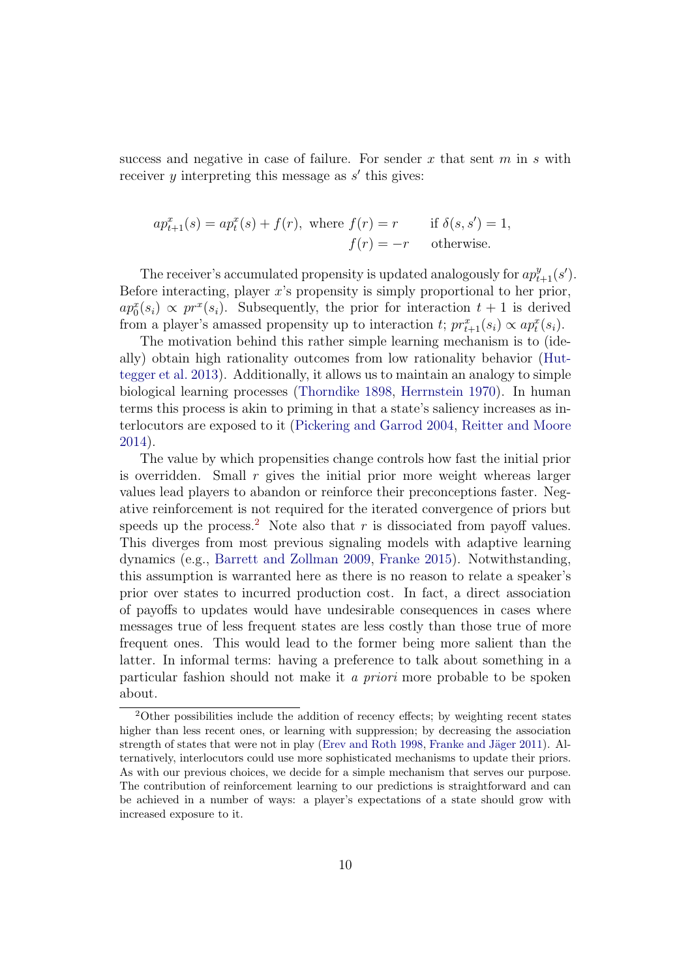success and negative in case of failure. For sender x that sent  $m$  in s with receiver  $y$  interpreting this message as  $s'$  this gives:

$$
ap_{t+1}^x(s) = ap_t^x(s) + f(r), \text{ where } f(r) = r \quad \text{if } \delta(s, s') = 1,
$$
  

$$
f(r) = -r \quad \text{otherwise.}
$$

The receiver's accumulated propensity is updated analogously for  $ap_{t+1}^y(s')$ . Before interacting, player  $x$ 's propensity is simply proportional to her prior,  $ap_0^x(s_i) \propto pr^x(s_i)$ . Subsequently, the prior for interaction  $t+1$  is derived from a player's amassed propensity up to interaction  $t$ ;  $pr_{t+1}^{x}(s_i) \propto ap_t^{x}(s_i)$ .

The motivation behind this rather simple learning mechanism is to (ideally) obtain high rationality outcomes from low rationality behavior [\(Hut](#page-25-10)[tegger et al.](#page-25-10) [2013\)](#page-25-10). Additionally, it allows us to maintain an analogy to simple biological learning processes [\(Thorndike](#page-27-6) [1898,](#page-27-6) [Herrnstein](#page-25-11) [1970\)](#page-25-11). In human terms this process is akin to priming in that a state's saliency increases as interlocutors are exposed to it [\(Pickering and Garrod](#page-26-8) [2004,](#page-26-8) [Reitter and Moore](#page-26-9) [2014\)](#page-26-9).

The value by which propensities change controls how fast the initial prior is overridden. Small  $r$  gives the initial prior more weight whereas larger values lead players to abandon or reinforce their preconceptions faster. Negative reinforcement is not required for the iterated convergence of priors but speeds up the process.<sup>[2](#page-9-0)</sup> Note also that r is dissociated from payoff values. This diverges from most previous signaling models with adaptive learning dynamics (e.g., [Barrett and Zollman](#page-22-0) [2009,](#page-22-0) [Franke](#page-24-7) [2015\)](#page-24-7). Notwithstanding, this assumption is warranted here as there is no reason to relate a speaker's prior over states to incurred production cost. In fact, a direct association of payoffs to updates would have undesirable consequences in cases where messages true of less frequent states are less costly than those true of more frequent ones. This would lead to the former being more salient than the latter. In informal terms: having a preference to talk about something in a particular fashion should not make it a priori more probable to be spoken about.

<span id="page-9-0"></span><sup>2</sup>Other possibilities include the addition of recency effects; by weighting recent states higher than less recent ones, or learning with suppression; by decreasing the association strength of states that were not in play [\(Erev and Roth](#page-23-10) [1998,](#page-23-10) Franke and Jäger [2011\)](#page-24-8). Alternatively, interlocutors could use more sophisticated mechanisms to update their priors. As with our previous choices, we decide for a simple mechanism that serves our purpose. The contribution of reinforcement learning to our predictions is straightforward and can be achieved in a number of ways: a player's expectations of a state should grow with increased exposure to it.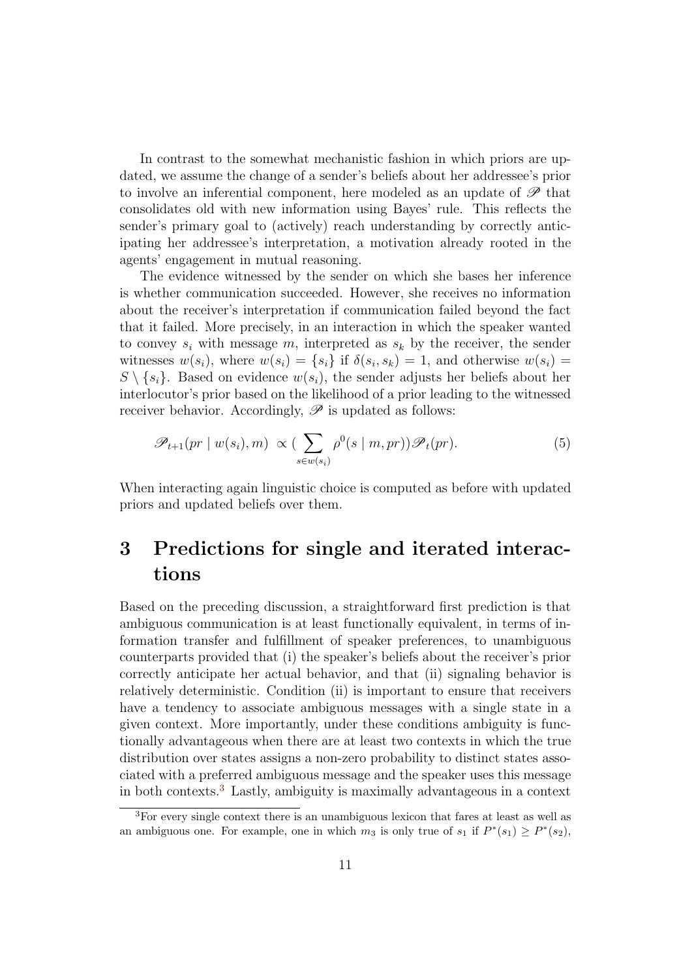In contrast to the somewhat mechanistic fashion in which priors are updated, we assume the change of a sender's beliefs about her addressee's prior to involve an inferential component, here modeled as an update of  $\mathscr P$  that consolidates old with new information using Bayes' rule. This reflects the sender's primary goal to (actively) reach understanding by correctly anticipating her addressee's interpretation, a motivation already rooted in the agents' engagement in mutual reasoning.

The evidence witnessed by the sender on which she bases her inference is whether communication succeeded. However, she receives no information about the receiver's interpretation if communication failed beyond the fact that it failed. More precisely, in an interaction in which the speaker wanted to convey  $s_i$  with message m, interpreted as  $s_k$  by the receiver, the sender witnesses  $w(s_i)$ , where  $w(s_i) = \{s_i\}$  if  $\delta(s_i, s_k) = 1$ , and otherwise  $w(s_i) =$  $S \setminus \{s_i\}$ . Based on evidence  $w(s_i)$ , the sender adjusts her beliefs about her interlocutor's prior based on the likelihood of a prior leading to the witnessed receiver behavior. Accordingly,  $\mathscr P$  is updated as follows:

<span id="page-10-2"></span>
$$
\mathscr{P}_{t+1}(pr \mid w(s_i), m) \propto (\sum_{s \in w(s_i)} \rho^0(s \mid m, pr)) \mathscr{P}_t(pr). \tag{5}
$$

When interacting again linguistic choice is computed as before with updated priors and updated beliefs over them.

## <span id="page-10-0"></span>3 Predictions for single and iterated interactions

Based on the preceding discussion, a straightforward first prediction is that ambiguous communication is at least functionally equivalent, in terms of information transfer and fulfillment of speaker preferences, to unambiguous counterparts provided that (i) the speaker's beliefs about the receiver's prior correctly anticipate her actual behavior, and that (ii) signaling behavior is relatively deterministic. Condition (ii) is important to ensure that receivers have a tendency to associate ambiguous messages with a single state in a given context. More importantly, under these conditions ambiguity is functionally advantageous when there are at least two contexts in which the true distribution over states assigns a non-zero probability to distinct states associated with a preferred ambiguous message and the speaker uses this message in both contexts.[3](#page-10-1) Lastly, ambiguity is maximally advantageous in a context

<span id="page-10-1"></span><sup>3</sup>For every single context there is an unambiguous lexicon that fares at least as well as an ambiguous one. For example, one in which  $m_3$  is only true of  $s_1$  if  $P^*(s_1) \ge P^*(s_2)$ ,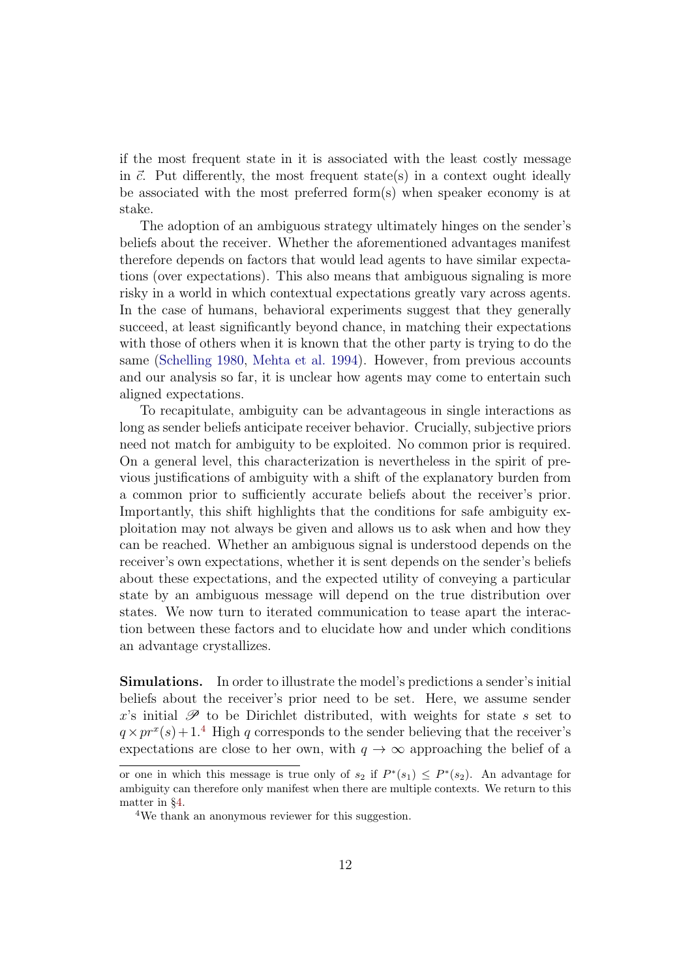if the most frequent state in it is associated with the least costly message in  $\vec{c}$ . Put differently, the most frequent state(s) in a context ought ideally be associated with the most preferred form(s) when speaker economy is at stake.

The adoption of an ambiguous strategy ultimately hinges on the sender's beliefs about the receiver. Whether the aforementioned advantages manifest therefore depends on factors that would lead agents to have similar expectations (over expectations). This also means that ambiguous signaling is more risky in a world in which contextual expectations greatly vary across agents. In the case of humans, behavioral experiments suggest that they generally succeed, at least significantly beyond chance, in matching their expectations with those of others when it is known that the other party is trying to do the same [\(Schelling](#page-26-10) [1980,](#page-26-10) [Mehta et al.](#page-26-11) [1994\)](#page-26-11). However, from previous accounts and our analysis so far, it is unclear how agents may come to entertain such aligned expectations.

To recapitulate, ambiguity can be advantageous in single interactions as long as sender beliefs anticipate receiver behavior. Crucially, subjective priors need not match for ambiguity to be exploited. No common prior is required. On a general level, this characterization is nevertheless in the spirit of previous justifications of ambiguity with a shift of the explanatory burden from a common prior to sufficiently accurate beliefs about the receiver's prior. Importantly, this shift highlights that the conditions for safe ambiguity exploitation may not always be given and allows us to ask when and how they can be reached. Whether an ambiguous signal is understood depends on the receiver's own expectations, whether it is sent depends on the sender's beliefs about these expectations, and the expected utility of conveying a particular state by an ambiguous message will depend on the true distribution over states. We now turn to iterated communication to tease apart the interaction between these factors and to elucidate how and under which conditions an advantage crystallizes.

Simulations. In order to illustrate the model's predictions a sender's initial beliefs about the receiver's prior need to be set. Here, we assume sender x's initial  $\mathscr P$  to be Dirichlet distributed, with weights for state s set to  $q \times pr^x(s) + 1$ <sup>[4](#page-11-0)</sup> High q corresponds to the sender believing that the receiver's expectations are close to her own, with  $q \to \infty$  approaching the belief of a

or one in which this message is true only of  $s_2$  if  $P^*(s_1) \le P^*(s_2)$ . An advantage for ambiguity can therefore only manifest when there are multiple contexts. We return to this matter in §[4.](#page-17-0)

<span id="page-11-0"></span><sup>4</sup>We thank an anonymous reviewer for this suggestion.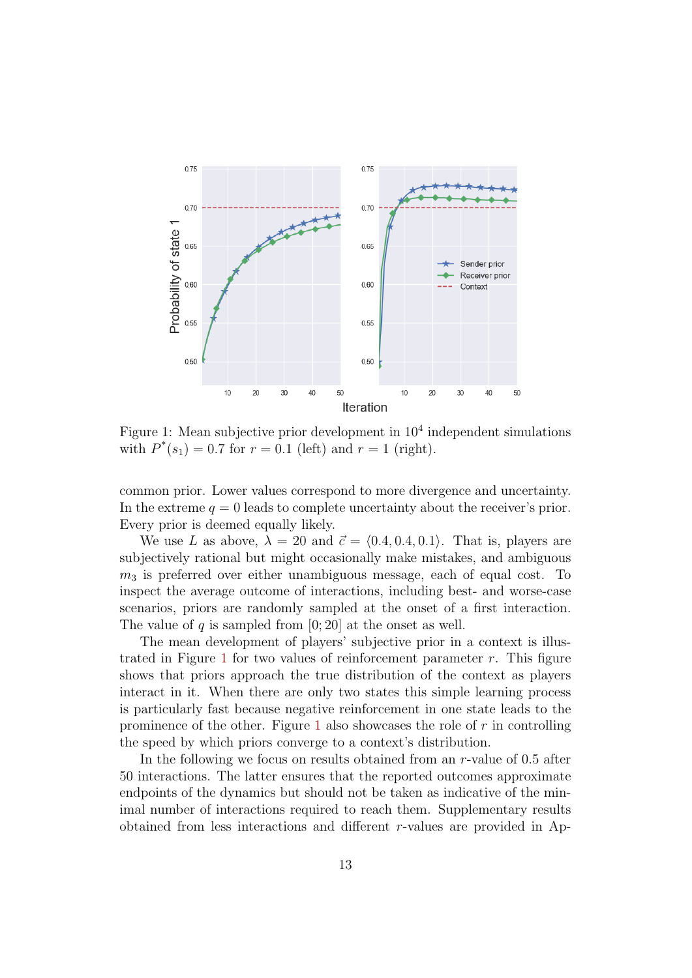<span id="page-12-0"></span>

Figure 1: Mean subjective prior development in  $10^4$  independent simulations with  $P^*(s_1) = 0.7$  for  $r = 0.1$  (left) and  $r = 1$  (right).

common prior. Lower values correspond to more divergence and uncertainty. In the extreme  $q = 0$  leads to complete uncertainty about the receiver's prior. Every prior is deemed equally likely.

We use L as above,  $\lambda = 20$  and  $\vec{c} = \langle 0.4, 0.4, 0.1 \rangle$ . That is, players are subjectively rational but might occasionally make mistakes, and ambiguous  $m<sub>3</sub>$  is preferred over either unambiguous message, each of equal cost. To inspect the average outcome of interactions, including best- and worse-case scenarios, priors are randomly sampled at the onset of a first interaction. The value of q is sampled from  $[0; 20]$  at the onset as well.

The mean development of players' subjective prior in a context is illus-trated in Figure [1](#page-12-0) for two values of reinforcement parameter  $r$ . This figure shows that priors approach the true distribution of the context as players interact in it. When there are only two states this simple learning process is particularly fast because negative reinforcement in one state leads to the prominence of the other. Figure [1](#page-12-0) also showcases the role of r in controlling the speed by which priors converge to a context's distribution.

In the following we focus on results obtained from an  $r$ -value of 0.5 after 50 interactions. The latter ensures that the reported outcomes approximate endpoints of the dynamics but should not be taken as indicative of the minimal number of interactions required to reach them. Supplementary results obtained from less interactions and different r-values are provided in Ap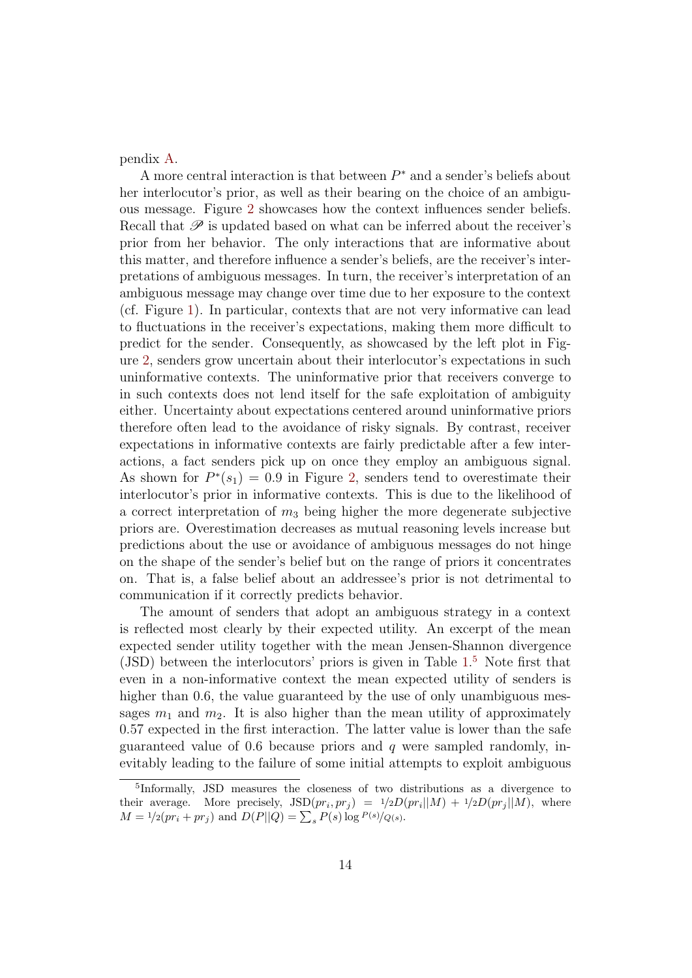pendix [A.](#page-21-2)

A more central interaction is that between  $P^*$  and a sender's beliefs about her interlocutor's prior, as well as their bearing on the choice of an ambiguous message. Figure [2](#page-14-0) showcases how the context influences sender beliefs. Recall that  $\mathscr P$  is updated based on what can be inferred about the receiver's prior from her behavior. The only interactions that are informative about this matter, and therefore influence a sender's beliefs, are the receiver's interpretations of ambiguous messages. In turn, the receiver's interpretation of an ambiguous message may change over time due to her exposure to the context (cf. Figure [1\)](#page-12-0). In particular, contexts that are not very informative can lead to fluctuations in the receiver's expectations, making them more difficult to predict for the sender. Consequently, as showcased by the left plot in Figure [2,](#page-14-0) senders grow uncertain about their interlocutor's expectations in such uninformative contexts. The uninformative prior that receivers converge to in such contexts does not lend itself for the safe exploitation of ambiguity either. Uncertainty about expectations centered around uninformative priors therefore often lead to the avoidance of risky signals. By contrast, receiver expectations in informative contexts are fairly predictable after a few interactions, a fact senders pick up on once they employ an ambiguous signal. As shown for  $P^*(s_1) = 0.9$  in Figure [2,](#page-14-0) senders tend to overestimate their interlocutor's prior in informative contexts. This is due to the likelihood of a correct interpretation of  $m_3$  being higher the more degenerate subjective priors are. Overestimation decreases as mutual reasoning levels increase but predictions about the use or avoidance of ambiguous messages do not hinge on the shape of the sender's belief but on the range of priors it concentrates on. That is, a false belief about an addressee's prior is not detrimental to communication if it correctly predicts behavior.

The amount of senders that adopt an ambiguous strategy in a context is reflected most clearly by their expected utility. An excerpt of the mean expected sender utility together with the mean Jensen-Shannon divergence (JSD) between the interlocutors' priors is given in Table [1.](#page-14-1) [5](#page-13-0) Note first that even in a non-informative context the mean expected utility of senders is higher than 0.6, the value guaranteed by the use of only unambiguous messages  $m_1$  and  $m_2$ . It is also higher than the mean utility of approximately 0.57 expected in the first interaction. The latter value is lower than the safe guaranteed value of 0.6 because priors and  $q$  were sampled randomly, inevitably leading to the failure of some initial attempts to exploit ambiguous

<span id="page-13-0"></span><sup>&</sup>lt;sup>5</sup>Informally, JSD measures the closeness of two distributions as a divergence to their average. More precisely,  $JSD(pr_i, pr_j) = 1/2D(pr_i||M) + 1/2D(pr_j||M)$ , where  $M = \frac{1}{2}(pr_i + pr_j)$  and  $D(P||Q) = \sum_s P(s) \log P(s)/Q(s)$ .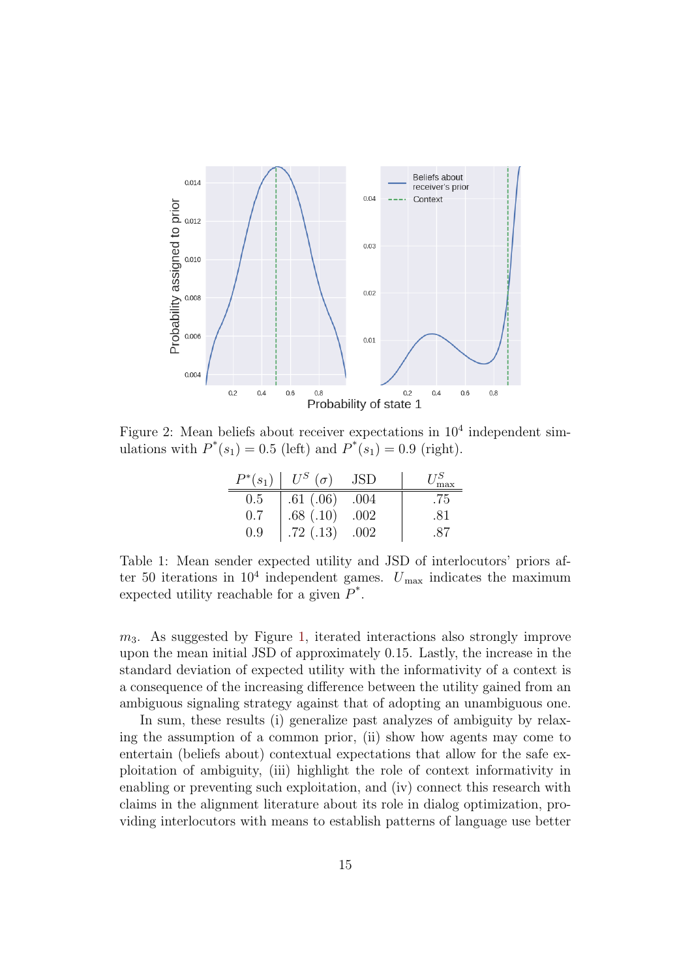<span id="page-14-0"></span>

<span id="page-14-1"></span>Figure 2: Mean beliefs about receiver expectations in  $10<sup>4</sup>$  independent simulations with  $P^*(s_1) = 0.5$  (left) and  $P^*(s_1) = 0.9$  (right).

| $P^*(s_1)$ | $U^S(\sigma)$ | JSD  | max |
|------------|---------------|------|-----|
| 0.5        | .61(.06)      | .004 | .75 |
| 0.7        | .68(.10)      | .002 | .81 |
| 0.9        | .72(.13)      | .002 | .87 |

Table 1: Mean sender expected utility and JSD of interlocutors' priors after 50 iterations in  $10^4$  independent games.  $U_{\text{max}}$  indicates the maximum expected utility reachable for a given  $P^*$ .

 $m<sub>3</sub>$ . As suggested by Figure [1,](#page-12-0) iterated interactions also strongly improve upon the mean initial JSD of approximately 0.15. Lastly, the increase in the standard deviation of expected utility with the informativity of a context is a consequence of the increasing difference between the utility gained from an ambiguous signaling strategy against that of adopting an unambiguous one.

In sum, these results (i) generalize past analyzes of ambiguity by relaxing the assumption of a common prior, (ii) show how agents may come to entertain (beliefs about) contextual expectations that allow for the safe exploitation of ambiguity, (iii) highlight the role of context informativity in enabling or preventing such exploitation, and (iv) connect this research with claims in the alignment literature about its role in dialog optimization, providing interlocutors with means to establish patterns of language use better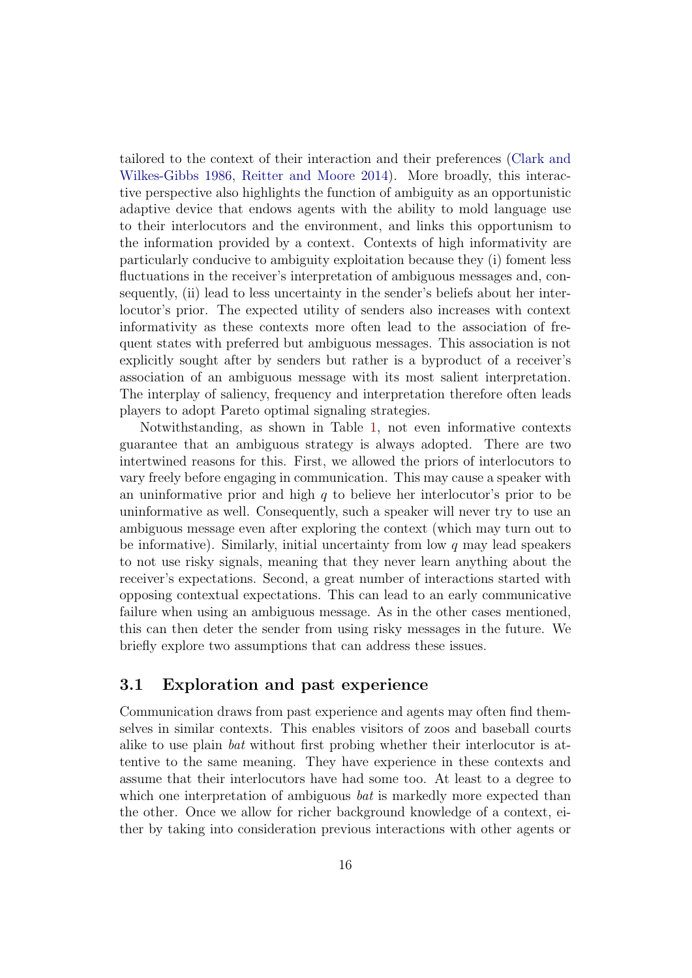tailored to the context of their interaction and their preferences [\(Clark and](#page-23-6) [Wilkes-Gibbs](#page-23-6) [1986,](#page-23-6) [Reitter and Moore](#page-26-9) [2014\)](#page-26-9). More broadly, this interactive perspective also highlights the function of ambiguity as an opportunistic adaptive device that endows agents with the ability to mold language use to their interlocutors and the environment, and links this opportunism to the information provided by a context. Contexts of high informativity are particularly conducive to ambiguity exploitation because they (i) foment less fluctuations in the receiver's interpretation of ambiguous messages and, consequently, (ii) lead to less uncertainty in the sender's beliefs about her interlocutor's prior. The expected utility of senders also increases with context informativity as these contexts more often lead to the association of frequent states with preferred but ambiguous messages. This association is not explicitly sought after by senders but rather is a byproduct of a receiver's association of an ambiguous message with its most salient interpretation. The interplay of saliency, frequency and interpretation therefore often leads players to adopt Pareto optimal signaling strategies.

Notwithstanding, as shown in Table [1,](#page-14-1) not even informative contexts guarantee that an ambiguous strategy is always adopted. There are two intertwined reasons for this. First, we allowed the priors of interlocutors to vary freely before engaging in communication. This may cause a speaker with an uninformative prior and high  $q$  to believe her interlocutor's prior to be uninformative as well. Consequently, such a speaker will never try to use an ambiguous message even after exploring the context (which may turn out to be informative). Similarly, initial uncertainty from low  $q$  may lead speakers to not use risky signals, meaning that they never learn anything about the receiver's expectations. Second, a great number of interactions started with opposing contextual expectations. This can lead to an early communicative failure when using an ambiguous message. As in the other cases mentioned, this can then deter the sender from using risky messages in the future. We briefly explore two assumptions that can address these issues.

#### 3.1 Exploration and past experience

Communication draws from past experience and agents may often find themselves in similar contexts. This enables visitors of zoos and baseball courts alike to use plain bat without first probing whether their interlocutor is attentive to the same meaning. They have experience in these contexts and assume that their interlocutors have had some too. At least to a degree to which one interpretation of ambiguous *bat* is markedly more expected than the other. Once we allow for richer background knowledge of a context, either by taking into consideration previous interactions with other agents or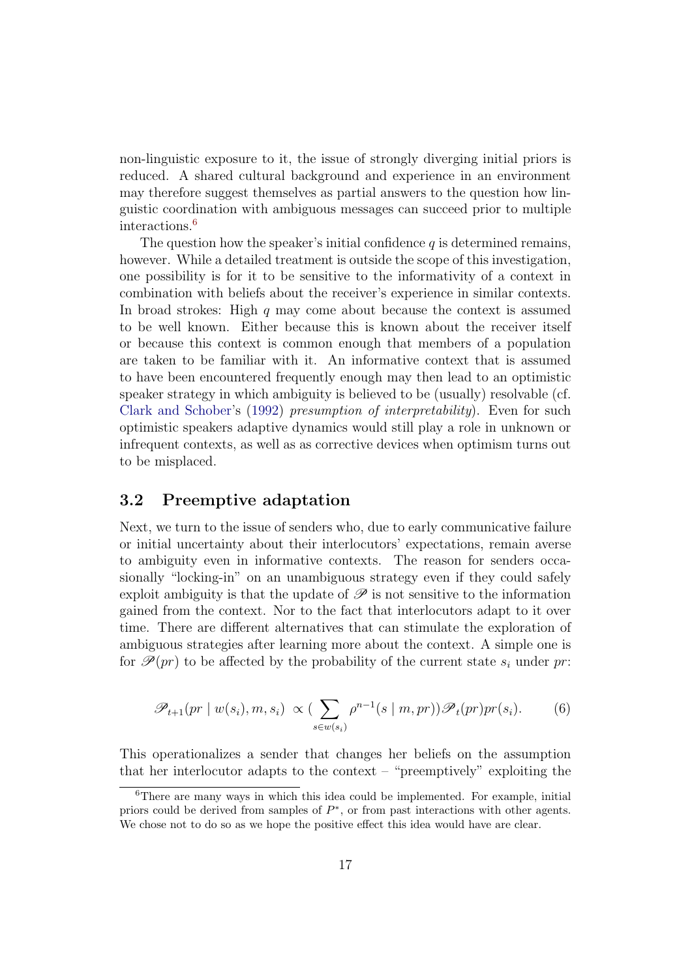non-linguistic exposure to it, the issue of strongly diverging initial priors is reduced. A shared cultural background and experience in an environment may therefore suggest themselves as partial answers to the question how linguistic coordination with ambiguous messages can succeed prior to multiple interactions.[6](#page-16-0)

The question how the speaker's initial confidence  $q$  is determined remains, however. While a detailed treatment is outside the scope of this investigation, one possibility is for it to be sensitive to the informativity of a context in combination with beliefs about the receiver's experience in similar contexts. In broad strokes: High  $q$  may come about because the context is assumed to be well known. Either because this is known about the receiver itself or because this context is common enough that members of a population are taken to be familiar with it. An informative context that is assumed to have been encountered frequently enough may then lead to an optimistic speaker strategy in which ambiguity is believed to be (usually) resolvable (cf. [Clark and Schober'](#page-23-11)s [\(1992\)](#page-23-11) presumption of interpretability). Even for such optimistic speakers adaptive dynamics would still play a role in unknown or infrequent contexts, as well as as corrective devices when optimism turns out to be misplaced.

#### 3.2 Preemptive adaptation

Next, we turn to the issue of senders who, due to early communicative failure or initial uncertainty about their interlocutors' expectations, remain averse to ambiguity even in informative contexts. The reason for senders occasionally "locking-in" on an unambiguous strategy even if they could safely exploit ambiguity is that the update of  $\mathscr P$  is not sensitive to the information gained from the context. Nor to the fact that interlocutors adapt to it over time. There are different alternatives that can stimulate the exploration of ambiguous strategies after learning more about the context. A simple one is for  $\mathscr{P}(pr)$  to be affected by the probability of the current state  $s_i$  under pr:

<span id="page-16-1"></span>
$$
\mathscr{P}_{t+1}(pr \mid w(s_i), m, s_i) \propto \left(\sum_{s \in w(s_i)} \rho^{n-1}(s \mid m, pr)\right) \mathscr{P}_t(pr)pr(s_i). \tag{6}
$$

This operationalizes a sender that changes her beliefs on the assumption that her interlocutor adapts to the context – "preemptively" exploiting the

<span id="page-16-0"></span> ${}^{6}$ There are many ways in which this idea could be implemented. For example, initial priors could be derived from samples of  $P^*$ , or from past interactions with other agents. We chose not to do so as we hope the positive effect this idea would have are clear.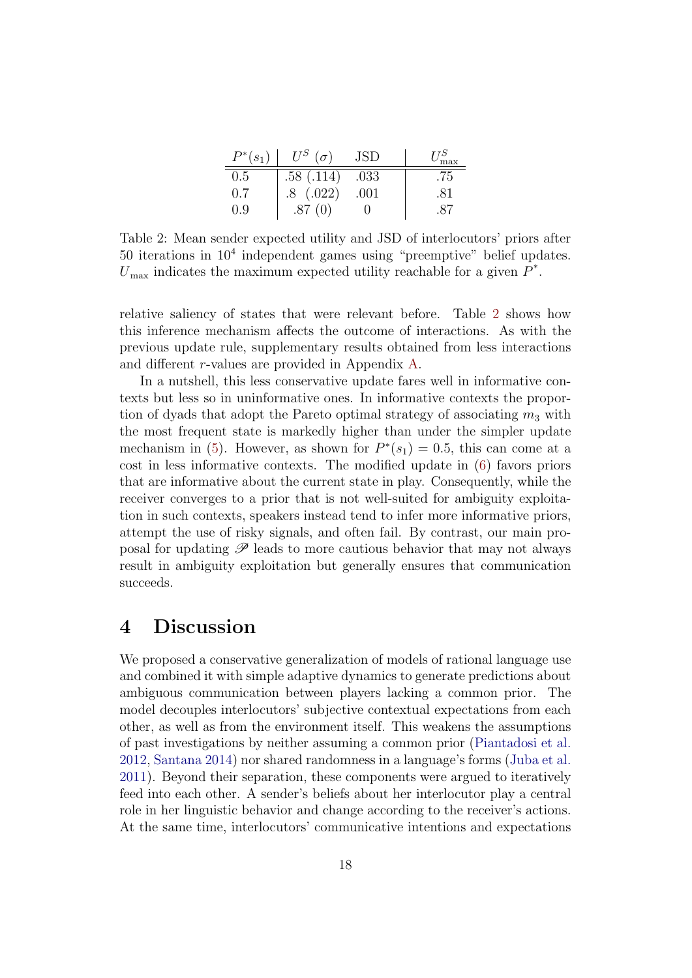| $P^*(s_1)$ | $U^S(\sigma)$     | JSD  | max |
|------------|-------------------|------|-----|
| 0.5        | .58(.114)         | .033 | .75 |
| 0.7        | $.8 \quad (.022)$ | .001 | .81 |
| 0.9        | .87(0)            |      | .87 |

<span id="page-17-1"></span>Table 2: Mean sender expected utility and JSD of interlocutors' priors after  $50$  iterations in  $10<sup>4</sup>$  independent games using "preemptive" belief updates.  $U_{\text{max}}$  indicates the maximum expected utility reachable for a given  $P^*$ .

relative saliency of states that were relevant before. Table [2](#page-17-1) shows how this inference mechanism affects the outcome of interactions. As with the previous update rule, supplementary results obtained from less interactions and different r-values are provided in Appendix [A.](#page-21-2)

In a nutshell, this less conservative update fares well in informative contexts but less so in uninformative ones. In informative contexts the proportion of dyads that adopt the Pareto optimal strategy of associating  $m_3$  with the most frequent state is markedly higher than under the simpler update mechanism in [\(5\)](#page-10-2). However, as shown for  $P^*(s_1) = 0.5$ , this can come at a cost in less informative contexts. The modified update in [\(6\)](#page-16-1) favors priors that are informative about the current state in play. Consequently, while the receiver converges to a prior that is not well-suited for ambiguity exploitation in such contexts, speakers instead tend to infer more informative priors, attempt the use of risky signals, and often fail. By contrast, our main proposal for updating  $\mathscr P$  leads to more cautious behavior that may not always result in ambiguity exploitation but generally ensures that communication succeeds.

### <span id="page-17-0"></span>4 Discussion

We proposed a conservative generalization of models of rational language use and combined it with simple adaptive dynamics to generate predictions about ambiguous communication between players lacking a common prior. The model decouples interlocutors' subjective contextual expectations from each other, as well as from the environment itself. This weakens the assumptions of past investigations by neither assuming a common prior [\(Piantadosi et al.](#page-26-1) [2012,](#page-26-1) [Santana](#page-26-0) [2014\)](#page-26-0) nor shared randomness in a language's forms [\(Juba et al.](#page-25-2) [2011\)](#page-25-2). Beyond their separation, these components were argued to iteratively feed into each other. A sender's beliefs about her interlocutor play a central role in her linguistic behavior and change according to the receiver's actions. At the same time, interlocutors' communicative intentions and expectations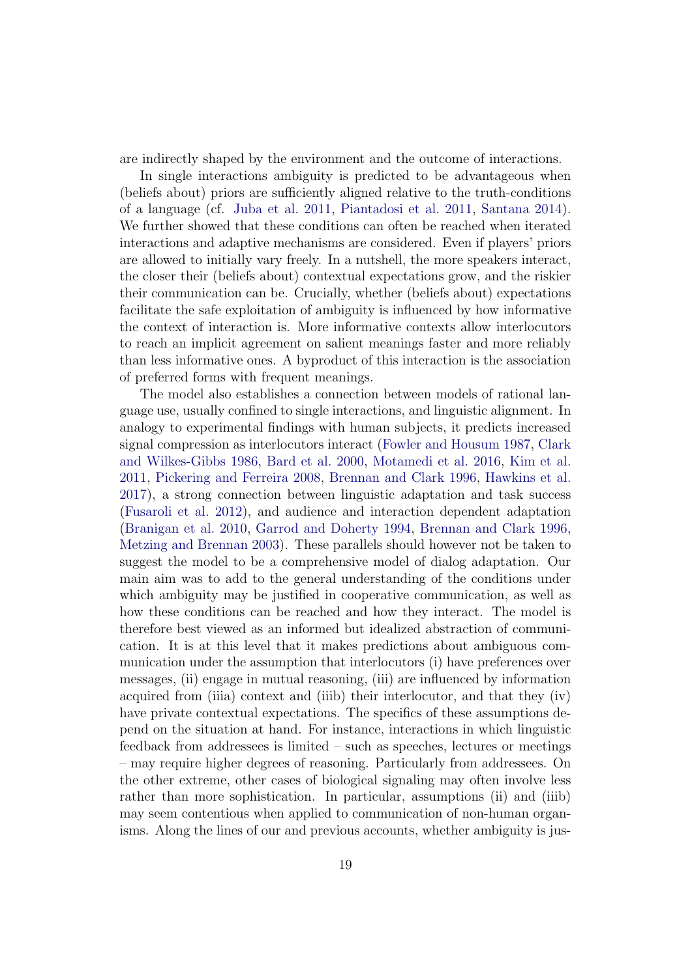are indirectly shaped by the environment and the outcome of interactions.

In single interactions ambiguity is predicted to be advantageous when (beliefs about) priors are sufficiently aligned relative to the truth-conditions of a language (cf. [Juba et al.](#page-25-2) [2011,](#page-25-2) [Piantadosi et al.](#page-26-6) [2011,](#page-26-6) [Santana](#page-26-0) [2014\)](#page-26-0). We further showed that these conditions can often be reached when iterated interactions and adaptive mechanisms are considered. Even if players' priors are allowed to initially vary freely. In a nutshell, the more speakers interact, the closer their (beliefs about) contextual expectations grow, and the riskier their communication can be. Crucially, whether (beliefs about) expectations facilitate the safe exploitation of ambiguity is influenced by how informative the context of interaction is. More informative contexts allow interlocutors to reach an implicit agreement on salient meanings faster and more reliably than less informative ones. A byproduct of this interaction is the association of preferred forms with frequent meanings.

The model also establishes a connection between models of rational language use, usually confined to single interactions, and linguistic alignment. In analogy to experimental findings with human subjects, it predicts increased signal compression as interlocutors interact [\(Fowler and Housum](#page-24-9) [1987,](#page-24-9) [Clark](#page-23-6) [and Wilkes-Gibbs](#page-23-6) [1986,](#page-23-6) [Bard et al.](#page-21-3) [2000,](#page-21-3) [Motamedi et al.](#page-26-5) [2016,](#page-26-5) [Kim et al.](#page-25-9) [2011,](#page-25-9) [Pickering and Ferreira](#page-26-7) [2008,](#page-26-7) [Brennan and Clark](#page-23-9) [1996,](#page-23-9) [Hawkins et al.](#page-25-5) [2017\)](#page-25-5), a strong connection between linguistic adaptation and task success [\(Fusaroli et al.](#page-24-10) [2012\)](#page-24-10), and audience and interaction dependent adaptation [\(Branigan et al.](#page-23-12) [2010,](#page-23-12) [Garrod and Doherty](#page-24-11) [1994,](#page-24-11) [Brennan and Clark](#page-23-9) [1996,](#page-23-9) [Metzing and Brennan](#page-26-12) [2003\)](#page-26-12). These parallels should however not be taken to suggest the model to be a comprehensive model of dialog adaptation. Our main aim was to add to the general understanding of the conditions under which ambiguity may be justified in cooperative communication, as well as how these conditions can be reached and how they interact. The model is therefore best viewed as an informed but idealized abstraction of communication. It is at this level that it makes predictions about ambiguous communication under the assumption that interlocutors (i) have preferences over messages, (ii) engage in mutual reasoning, (iii) are influenced by information acquired from (iiia) context and (iiib) their interlocutor, and that they (iv) have private contextual expectations. The specifics of these assumptions depend on the situation at hand. For instance, interactions in which linguistic feedback from addressees is limited – such as speeches, lectures or meetings – may require higher degrees of reasoning. Particularly from addressees. On the other extreme, other cases of biological signaling may often involve less rather than more sophistication. In particular, assumptions (ii) and (iiib) may seem contentious when applied to communication of non-human organisms. Along the lines of our and previous accounts, whether ambiguity is jus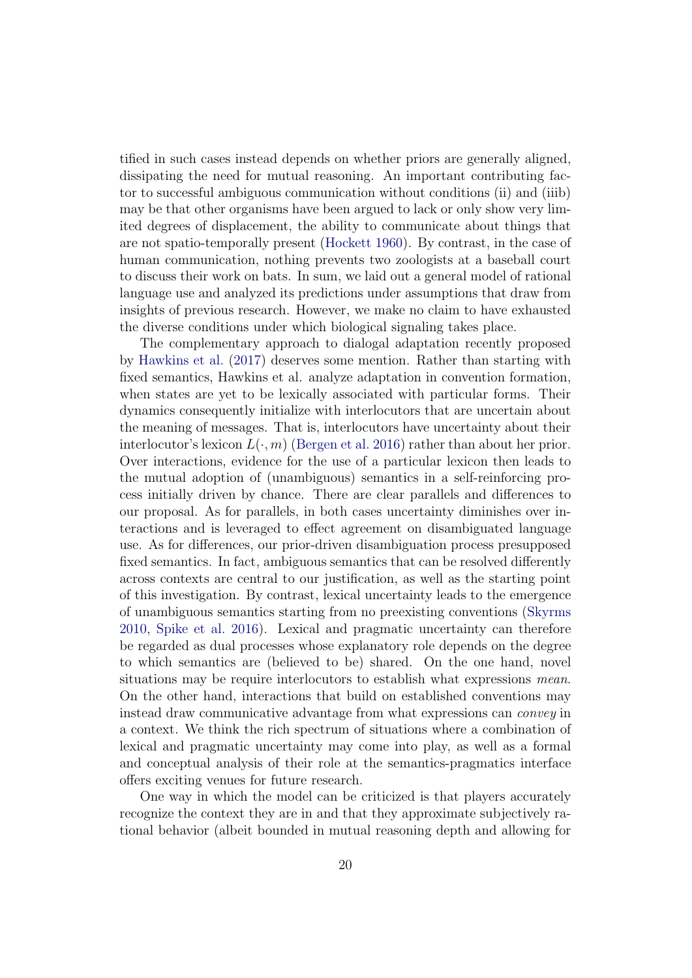tified in such cases instead depends on whether priors are generally aligned, dissipating the need for mutual reasoning. An important contributing factor to successful ambiguous communication without conditions (ii) and (iiib) may be that other organisms have been argued to lack or only show very limited degrees of displacement, the ability to communicate about things that are not spatio-temporally present [\(Hockett](#page-25-12) [1960\)](#page-25-12). By contrast, in the case of human communication, nothing prevents two zoologists at a baseball court to discuss their work on bats. In sum, we laid out a general model of rational language use and analyzed its predictions under assumptions that draw from insights of previous research. However, we make no claim to have exhausted the diverse conditions under which biological signaling takes place.

The complementary approach to dialogal adaptation recently proposed by [Hawkins et al.](#page-25-5) [\(2017\)](#page-25-5) deserves some mention. Rather than starting with fixed semantics, Hawkins et al. analyze adaptation in convention formation, when states are yet to be lexically associated with particular forms. Their dynamics consequently initialize with interlocutors that are uncertain about the meaning of messages. That is, interlocutors have uncertainty about their interlocutor's lexicon  $L(\cdot,m)$  [\(Bergen et al.](#page-22-1) [2016\)](#page-22-1) rather than about her prior. Over interactions, evidence for the use of a particular lexicon then leads to the mutual adoption of (unambiguous) semantics in a self-reinforcing process initially driven by chance. There are clear parallels and differences to our proposal. As for parallels, in both cases uncertainty diminishes over interactions and is leveraged to effect agreement on disambiguated language use. As for differences, our prior-driven disambiguation process presupposed fixed semantics. In fact, ambiguous semantics that can be resolved differently across contexts are central to our justification, as well as the starting point of this investigation. By contrast, lexical uncertainty leads to the emergence of unambiguous semantics starting from no preexisting conventions [\(Skyrms](#page-27-1) [2010,](#page-27-1) [Spike et al.](#page-27-2) [2016\)](#page-27-2). Lexical and pragmatic uncertainty can therefore be regarded as dual processes whose explanatory role depends on the degree to which semantics are (believed to be) shared. On the one hand, novel situations may be require interlocutors to establish what expressions *mean*. On the other hand, interactions that build on established conventions may instead draw communicative advantage from what expressions can convey in a context. We think the rich spectrum of situations where a combination of lexical and pragmatic uncertainty may come into play, as well as a formal and conceptual analysis of their role at the semantics-pragmatics interface offers exciting venues for future research.

One way in which the model can be criticized is that players accurately recognize the context they are in and that they approximate subjectively rational behavior (albeit bounded in mutual reasoning depth and allowing for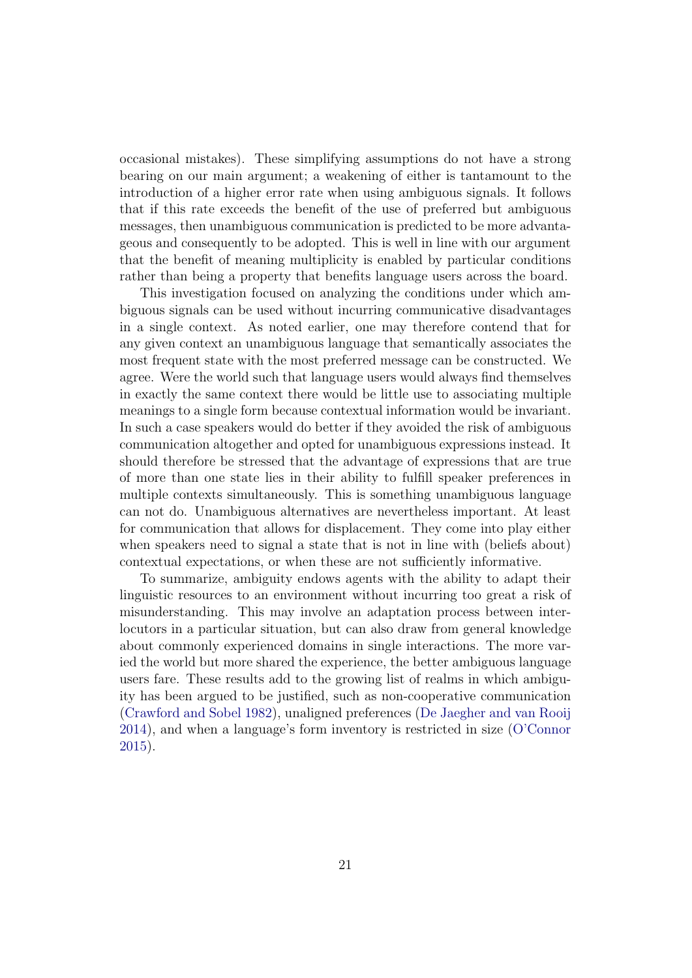occasional mistakes). These simplifying assumptions do not have a strong bearing on our main argument; a weakening of either is tantamount to the introduction of a higher error rate when using ambiguous signals. It follows that if this rate exceeds the benefit of the use of preferred but ambiguous messages, then unambiguous communication is predicted to be more advantageous and consequently to be adopted. This is well in line with our argument that the benefit of meaning multiplicity is enabled by particular conditions rather than being a property that benefits language users across the board.

This investigation focused on analyzing the conditions under which ambiguous signals can be used without incurring communicative disadvantages in a single context. As noted earlier, one may therefore contend that for any given context an unambiguous language that semantically associates the most frequent state with the most preferred message can be constructed. We agree. Were the world such that language users would always find themselves in exactly the same context there would be little use to associating multiple meanings to a single form because contextual information would be invariant. In such a case speakers would do better if they avoided the risk of ambiguous communication altogether and opted for unambiguous expressions instead. It should therefore be stressed that the advantage of expressions that are true of more than one state lies in their ability to fulfill speaker preferences in multiple contexts simultaneously. This is something unambiguous language can not do. Unambiguous alternatives are nevertheless important. At least for communication that allows for displacement. They come into play either when speakers need to signal a state that is not in line with (beliefs about) contextual expectations, or when these are not sufficiently informative.

To summarize, ambiguity endows agents with the ability to adapt their linguistic resources to an environment without incurring too great a risk of misunderstanding. This may involve an adaptation process between interlocutors in a particular situation, but can also draw from general knowledge about commonly experienced domains in single interactions. The more varied the world but more shared the experience, the better ambiguous language users fare. These results add to the growing list of realms in which ambiguity has been argued to be justified, such as non-cooperative communication [\(Crawford and Sobel](#page-23-4) [1982\)](#page-23-4), unaligned preferences [\(De Jaegher and van Rooij](#page-23-13) [2014\)](#page-23-13), and when a language's form inventory is restricted in size [\(O'Connor](#page-26-3) [2015\)](#page-26-3).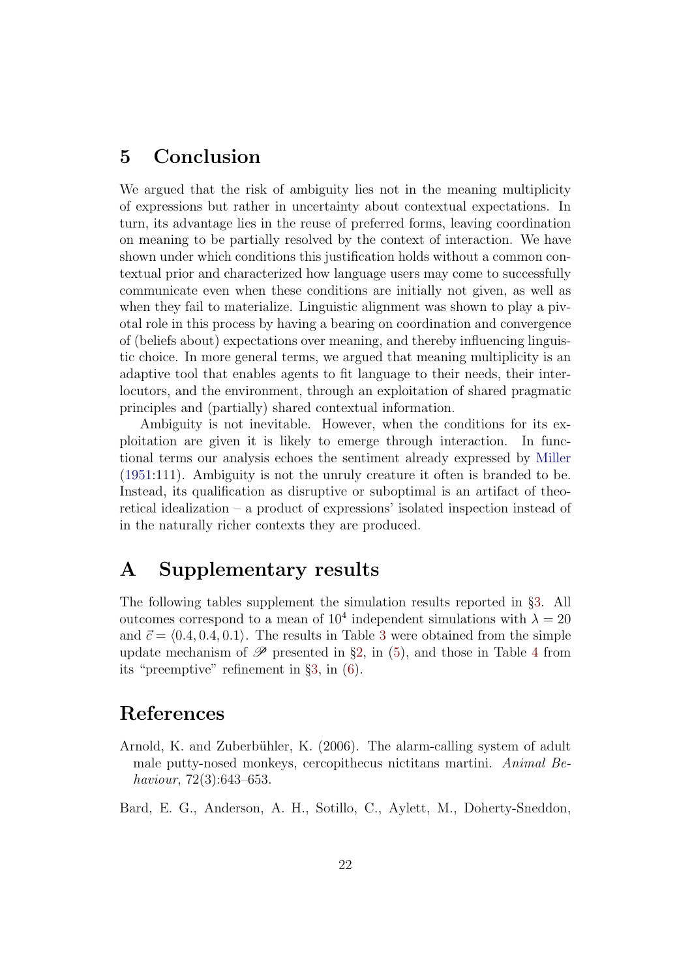## <span id="page-21-1"></span>5 Conclusion

We argued that the risk of ambiguity lies not in the meaning multiplicity of expressions but rather in uncertainty about contextual expectations. In turn, its advantage lies in the reuse of preferred forms, leaving coordination on meaning to be partially resolved by the context of interaction. We have shown under which conditions this justification holds without a common contextual prior and characterized how language users may come to successfully communicate even when these conditions are initially not given, as well as when they fail to materialize. Linguistic alignment was shown to play a pivotal role in this process by having a bearing on coordination and convergence of (beliefs about) expectations over meaning, and thereby influencing linguistic choice. In more general terms, we argued that meaning multiplicity is an adaptive tool that enables agents to fit language to their needs, their interlocutors, and the environment, through an exploitation of shared pragmatic principles and (partially) shared contextual information.

Ambiguity is not inevitable. However, when the conditions for its exploitation are given it is likely to emerge through interaction. In functional terms our analysis echoes the sentiment already expressed by [Miller](#page-26-13) [\(1951:](#page-26-13)111). Ambiguity is not the unruly creature it often is branded to be. Instead, its qualification as disruptive or suboptimal is an artifact of theoretical idealization – a product of expressions' isolated inspection instead of in the naturally richer contexts they are produced.

## <span id="page-21-2"></span>A Supplementary results

The following tables supplement the simulation results reported in §[3.](#page-10-0) All outcomes correspond to a mean of  $10^4$  independent simulations with  $\lambda = 20$ and  $\vec{c} = \langle 0.4, 0.4, 0.1 \rangle$ . The results in Table [3](#page-22-2) were obtained from the simple update mechanism of  $\mathscr P$  presented in §[2,](#page-2-0) in [\(5\)](#page-10-2), and those in Table [4](#page-22-3) from its "preemptive" refinement in §[3,](#page-10-0) in [\(6\)](#page-16-1).

## References

<span id="page-21-0"></span>Arnold, K. and Zuberbühler, K.  $(2006)$ . The alarm-calling system of adult male putty-nosed monkeys, cercopithecus nictitans martini. Animal Behaviour, 72(3):643–653.

<span id="page-21-3"></span>Bard, E. G., Anderson, A. H., Sotillo, C., Aylett, M., Doherty-Sneddon,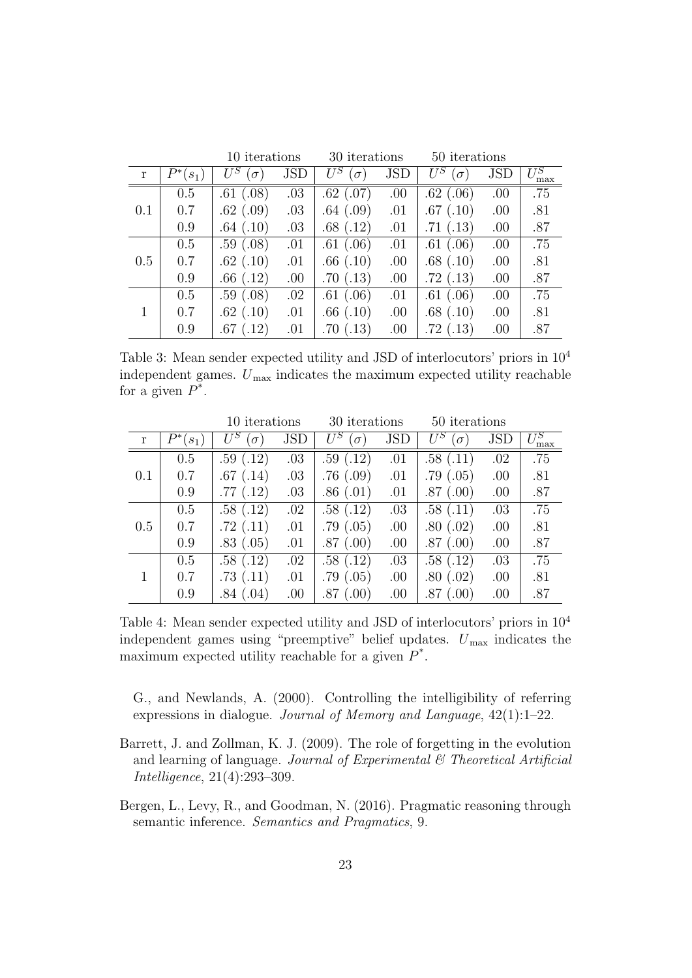<span id="page-22-2"></span>

|     |                                           | 10 iterations<br>30 iterations |            |                   | 50 iterations |                   |            |                         |
|-----|-------------------------------------------|--------------------------------|------------|-------------------|---------------|-------------------|------------|-------------------------|
| r   | $P^*$<br>$\left\lfloor s_1 \right\rfloor$ | $U^S$<br>$\sigma$              | <b>JSD</b> | $U^S$<br>$\sigma$ | <b>JSD</b>    | $U^S$<br>$\sigma$ | <b>JSD</b> | $\overline{U^S}$<br>max |
|     | 0.5                                       | (.08)<br>.61                   | .03        | $.62$ $(.07)$     | .00           | $.62$ $(.06)$     | .00        | .75                     |
| 0.1 | 0.7                                       | $.62$ $(.09)$                  | .03        | .64(.09)          | .01           | .67(.10)          | .00        | .81                     |
|     | 0.9                                       | .64(.10)                       | .03        | .68(.12)          | .01           | .71(.13)          | .00        | .87                     |
| 0.5 | 0.5                                       | .59(.08)                       | .01        | .61(.06)          | .01           | .61(.06)          | .00        | .75                     |
|     | 0.7                                       | .62(.10)                       | .01        | .66(.10)          | .00           | .68(.10)          | .00        | .81                     |
|     | 0.9                                       | .66(.12)                       | .00        | .70(.13)          | .00           | .72(.13)          | .00        | .87                     |
| 1   | 0.5                                       | .59(.08)                       | .02        | .61(.06)          | .01           | .61(.06)          | .00        | .75                     |
|     | 0.7                                       | .62(.10)                       | .01        | .66(.10)          | .00           | .68(.10)          | .00        | .81                     |
|     | 0.9                                       | (.12)<br>.67                   | .01        | (.13)<br>.70      | .00.          | .72(.13)          | .00        | .87                     |

Table 3: Mean sender expected utility and JSD of interlocutors' priors in 10<sup>4</sup> independent games.  $U_{\text{max}}$  indicates the maximum expected utility reachable for a given  $P^*$ .

<span id="page-22-3"></span>

|     |                  | 10 iterations       |            | 30 iterations       |            | 50 iterations     |            |                         |
|-----|------------------|---------------------|------------|---------------------|------------|-------------------|------------|-------------------------|
| r   | $P^*$<br>$(s_1)$ | $U^S$<br>$(\sigma)$ | <b>JSD</b> | $U^S$<br>$\sigma$ ) | <b>JSD</b> | $U^S$<br>$\sigma$ | <b>JSD</b> | $\overline{U^S}$<br>max |
| 0.1 | 0.5              | .59(.12)            | .03        | .59(.12)            | .01        | .58(.11)          | .02        | .75                     |
|     | 0.7              | .67(.14)            | .03        | .76(.09)            | .01        | .79(.05)          | .00        | .81                     |
|     | 0.9              | .77(.12)            | .03        | .86(.01)            | .01        | .87(.00)          | .00        | .87                     |
| 0.5 | 0.5              | .58(.12)            | .02        | .58(.12)            | .03        | .58(.11)          | .03        | .75                     |
|     | 0.7              | .72(.11)            | .01        | .79(.05)            | .00.       | .80(.02)          | .00        | .81                     |
|     | 0.9              | .83(.05)            | .01        | .87(.00)            | .00        | .87(.00)          | .00        | .87                     |
| 1   | 0.5              | .58(.12)            | .02        | .58(.12)            | .03        | .58(.12)          | .03        | .75                     |
|     | 0.7              | .73(.11)            | .01        | .79(.05)            | .00        | .80(.02)          | .00        | .81                     |
|     | 0.9              | .84(.04)            | .00        | .87(.00)            | .00        | .87(.00)          | .00        | .87                     |

Table 4: Mean sender expected utility and JSD of interlocutors' priors in 10<sup>4</sup> independent games using "preemptive" belief updates.  $U_{\text{max}}$  indicates the maximum expected utility reachable for a given  $P^*$ .

G., and Newlands, A. (2000). Controlling the intelligibility of referring expressions in dialogue. Journal of Memory and Language, 42(1):1–22.

- <span id="page-22-0"></span>Barrett, J. and Zollman, K. J. (2009). The role of forgetting in the evolution and learning of language. Journal of Experimental  $\mathcal C$  Theoretical Artificial Intelligence, 21(4):293–309.
- <span id="page-22-1"></span>Bergen, L., Levy, R., and Goodman, N. (2016). Pragmatic reasoning through semantic inference. Semantics and Pragmatics, 9.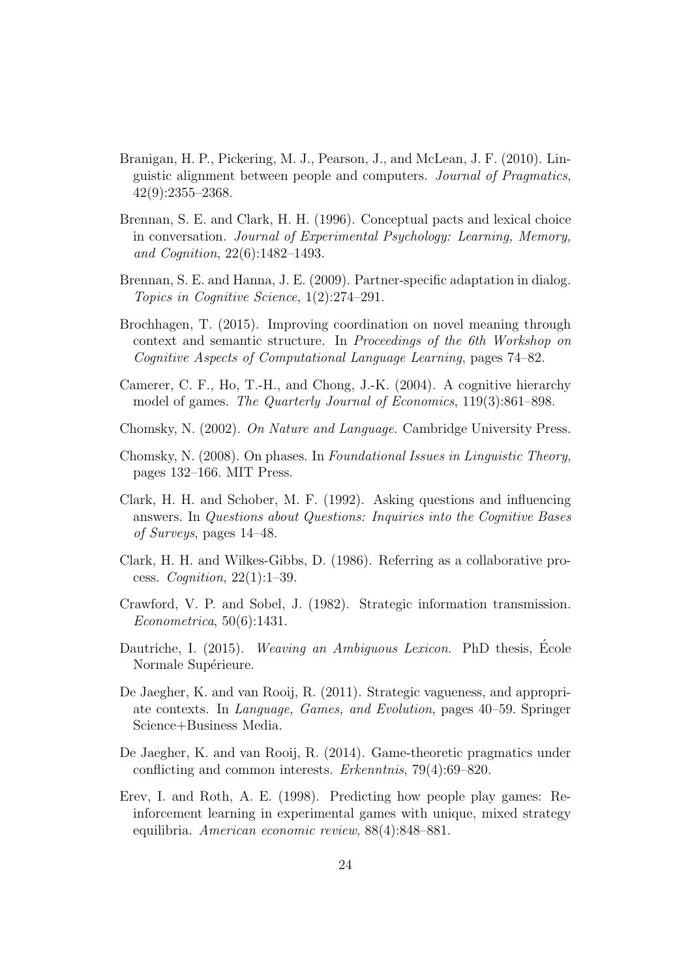- <span id="page-23-12"></span>Branigan, H. P., Pickering, M. J., Pearson, J., and McLean, J. F. (2010). Linguistic alignment between people and computers. Journal of Pragmatics, 42(9):2355–2368.
- <span id="page-23-9"></span>Brennan, S. E. and Clark, H. H. (1996). Conceptual pacts and lexical choice in conversation. Journal of Experimental Psychology: Learning, Memory, and Cognition, 22(6):1482–1493.
- <span id="page-23-7"></span>Brennan, S. E. and Hanna, J. E. (2009). Partner-specific adaptation in dialog. Topics in Cognitive Science, 1(2):274–291.
- <span id="page-23-3"></span>Brochhagen, T. (2015). Improving coordination on novel meaning through context and semantic structure. In Proceedings of the 6th Workshop on Cognitive Aspects of Computational Language Learning, pages 74–82.
- <span id="page-23-8"></span>Camerer, C. F., Ho, T.-H., and Chong, J.-K. (2004). A cognitive hierarchy model of games. The Quarterly Journal of Economics, 119(3):861–898.
- <span id="page-23-0"></span>Chomsky, N. (2002). On Nature and Language. Cambridge University Press.
- <span id="page-23-1"></span>Chomsky, N. (2008). On phases. In Foundational Issues in Linguistic Theory, pages 132–166. MIT Press.
- <span id="page-23-11"></span>Clark, H. H. and Schober, M. F. (1992). Asking questions and influencing answers. In Questions about Questions: Inquiries into the Cognitive Bases of Surveys, pages 14–48.
- <span id="page-23-6"></span>Clark, H. H. and Wilkes-Gibbs, D. (1986). Referring as a collaborative process. Cognition, 22(1):1–39.
- <span id="page-23-4"></span>Crawford, V. P. and Sobel, J. (1982). Strategic information transmission. Econometrica, 50(6):1431.
- <span id="page-23-2"></span>Dautriche, I. (2015). *Weaving an Ambiguous Lexicon*. PhD thesis, Ecole Normale Supérieure.
- <span id="page-23-5"></span>De Jaegher, K. and van Rooij, R. (2011). Strategic vagueness, and appropriate contexts. In Language, Games, and Evolution, pages 40–59. Springer Science+Business Media.
- <span id="page-23-13"></span>De Jaegher, K. and van Rooij, R. (2014). Game-theoretic pragmatics under conflicting and common interests. Erkenntnis, 79(4):69–820.
- <span id="page-23-10"></span>Erev, I. and Roth, A. E. (1998). Predicting how people play games: Reinforcement learning in experimental games with unique, mixed strategy equilibria. American economic review, 88(4):848–881.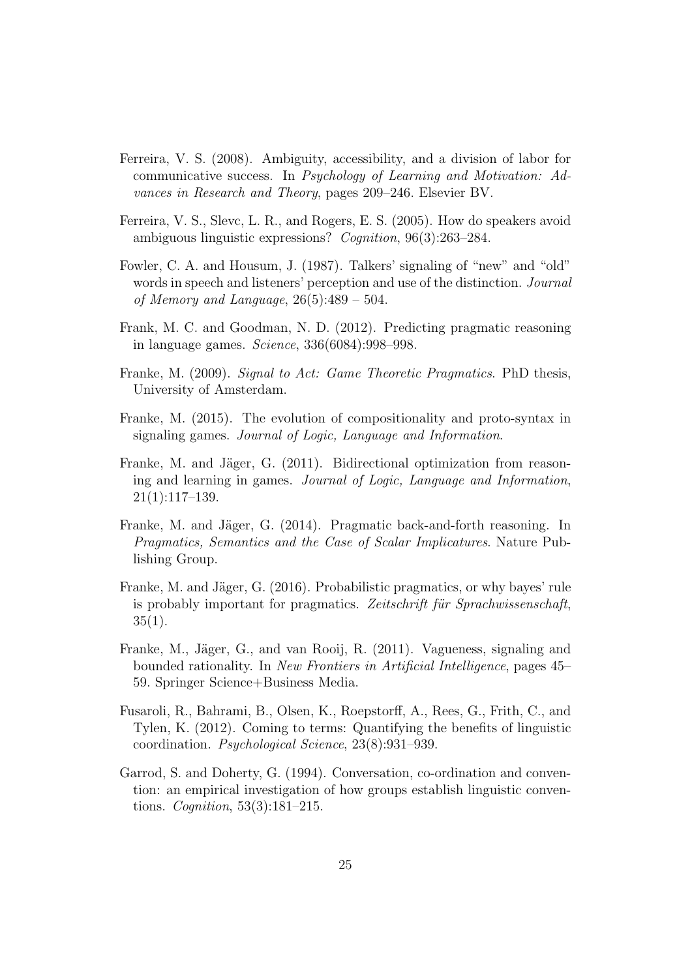- <span id="page-24-4"></span>Ferreira, V. S. (2008). Ambiguity, accessibility, and a division of labor for communicative success. In Psychology of Learning and Motivation: Advances in Research and Theory, pages 209–246. Elsevier BV.
- <span id="page-24-5"></span>Ferreira, V. S., Slevc, L. R., and Rogers, E. S. (2005). How do speakers avoid ambiguous linguistic expressions? Cognition, 96(3):263–284.
- <span id="page-24-9"></span>Fowler, C. A. and Housum, J. (1987). Talkers' signaling of "new" and "old" words in speech and listeners' perception and use of the distinction. *Journal* of Memory and Language,  $26(5):489-504$ .
- <span id="page-24-0"></span>Frank, M. C. and Goodman, N. D. (2012). Predicting pragmatic reasoning in language games. Science, 336(6084):998–998.
- <span id="page-24-3"></span>Franke, M. (2009). Signal to Act: Game Theoretic Pragmatics. PhD thesis, University of Amsterdam.
- <span id="page-24-7"></span>Franke, M. (2015). The evolution of compositionality and proto-syntax in signaling games. Journal of Logic, Language and Information.
- <span id="page-24-8"></span>Franke, M. and Jäger, G. (2011). Bidirectional optimization from reasoning and learning in games. Journal of Logic, Language and Information, 21(1):117–139.
- <span id="page-24-1"></span>Franke, M. and Jäger, G. (2014). Pragmatic back-and-forth reasoning. In Pragmatics, Semantics and the Case of Scalar Implicatures. Nature Publishing Group.
- <span id="page-24-6"></span>Franke, M. and Jäger, G. (2016). Probabilistic pragmatics, or why bayes' rule is probably important for pragmatics. Zeitschrift für Sprachwissenschaft,  $35(1)$ .
- <span id="page-24-2"></span>Franke, M., Jäger, G., and van Rooij, R. (2011). Vagueness, signaling and bounded rationality. In New Frontiers in Artificial Intelligence, pages 45– 59. Springer Science+Business Media.
- <span id="page-24-10"></span>Fusaroli, R., Bahrami, B., Olsen, K., Roepstorff, A., Rees, G., Frith, C., and Tylen, K. (2012). Coming to terms: Quantifying the benefits of linguistic coordination. Psychological Science, 23(8):931–939.
- <span id="page-24-11"></span>Garrod, S. and Doherty, G. (1994). Conversation, co-ordination and convention: an empirical investigation of how groups establish linguistic conventions. Cognition, 53(3):181–215.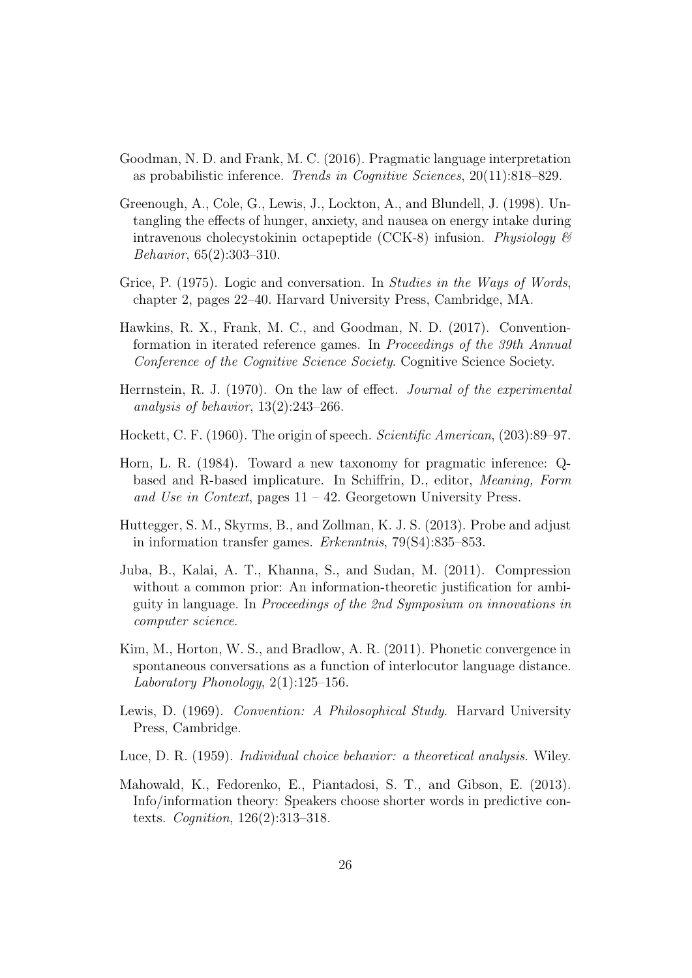- <span id="page-25-7"></span>Goodman, N. D. and Frank, M. C. (2016). Pragmatic language interpretation as probabilistic inference. Trends in Cognitive Sciences, 20(11):818–829.
- <span id="page-25-0"></span>Greenough, A., Cole, G., Lewis, J., Lockton, A., and Blundell, J. (1998). Untangling the effects of hunger, anxiety, and nausea on energy intake during intravenous cholecystokinin octapeptide (CCK-8) infusion. Physiology  $\mathcal{B}$ Behavior, 65(2):303–310.
- <span id="page-25-3"></span>Grice, P. (1975). Logic and conversation. In *Studies in the Ways of Words*, chapter 2, pages 22–40. Harvard University Press, Cambridge, MA.
- <span id="page-25-5"></span>Hawkins, R. X., Frank, M. C., and Goodman, N. D. (2017). Conventionformation in iterated reference games. In Proceedings of the 39th Annual Conference of the Cognitive Science Society. Cognitive Science Society.
- <span id="page-25-11"></span>Herrnstein, R. J. (1970). On the law of effect. Journal of the experimental analysis of behavior, 13(2):243–266.
- <span id="page-25-12"></span>Hockett, C. F. (1960). The origin of speech. Scientific American, (203):89–97.
- <span id="page-25-4"></span>Horn, L. R. (1984). Toward a new taxonomy for pragmatic inference: Qbased and R-based implicature. In Schiffrin, D., editor, Meaning, Form and Use in Context, pages  $11 - 42$ . Georgetown University Press.
- <span id="page-25-10"></span>Huttegger, S. M., Skyrms, B., and Zollman, K. J. S. (2013). Probe and adjust in information transfer games. Erkenntnis, 79(S4):835–853.
- <span id="page-25-2"></span>Juba, B., Kalai, A. T., Khanna, S., and Sudan, M. (2011). Compression without a common prior: An information-theoretic justification for ambiguity in language. In Proceedings of the 2nd Symposium on innovations in computer science.
- <span id="page-25-9"></span>Kim, M., Horton, W. S., and Bradlow, A. R. (2011). Phonetic convergence in spontaneous conversations as a function of interlocutor language distance. Laboratory Phonology,  $2(1):125-156$ .
- <span id="page-25-1"></span>Lewis, D. (1969). Convention: A Philosophical Study. Harvard University Press, Cambridge.
- <span id="page-25-8"></span>Luce, D. R. (1959). Individual choice behavior: a theoretical analysis. Wiley.
- <span id="page-25-6"></span>Mahowald, K., Fedorenko, E., Piantadosi, S. T., and Gibson, E. (2013). Info/information theory: Speakers choose shorter words in predictive contexts. Cognition, 126(2):313–318.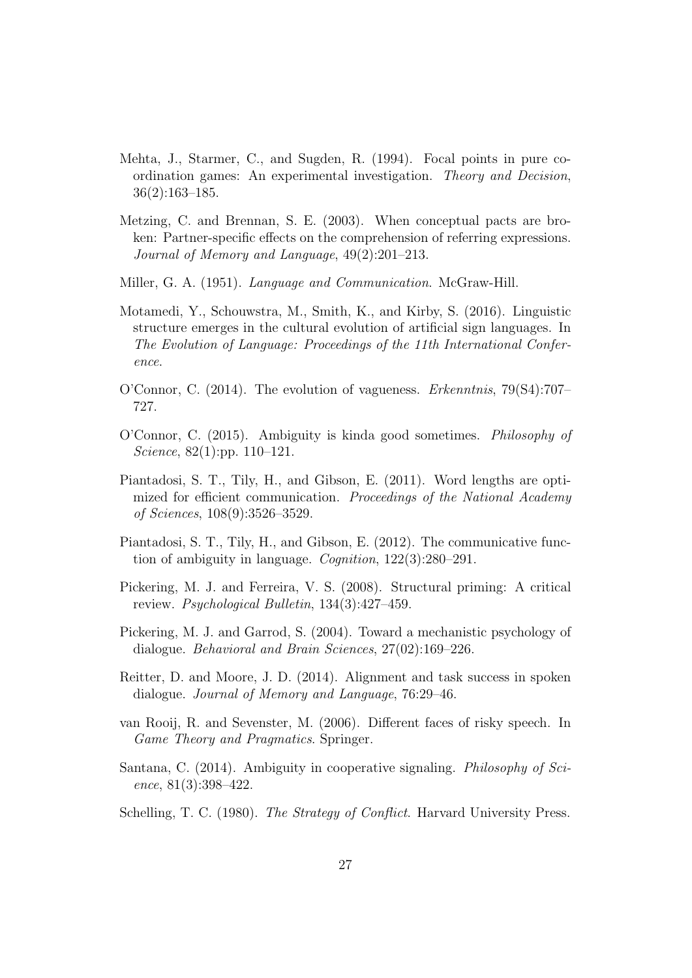- <span id="page-26-11"></span>Mehta, J., Starmer, C., and Sugden, R. (1994). Focal points in pure coordination games: An experimental investigation. Theory and Decision, 36(2):163–185.
- <span id="page-26-12"></span>Metzing, C. and Brennan, S. E. (2003). When conceptual pacts are broken: Partner-specific effects on the comprehension of referring expressions. Journal of Memory and Language, 49(2):201–213.
- <span id="page-26-13"></span>Miller, G. A. (1951). Language and Communication. McGraw-Hill.
- <span id="page-26-5"></span>Motamedi, Y., Schouwstra, M., Smith, K., and Kirby, S. (2016). Linguistic structure emerges in the cultural evolution of artificial sign languages. In The Evolution of Language: Proceedings of the 11th International Conference.
- <span id="page-26-4"></span>O'Connor, C. (2014). The evolution of vagueness. *Erkenntnis*,  $79(54):707-$ 727.
- <span id="page-26-3"></span>O'Connor, C. (2015). Ambiguity is kinda good sometimes. Philosophy of Science, 82(1):pp. 110–121.
- <span id="page-26-6"></span>Piantadosi, S. T., Tily, H., and Gibson, E. (2011). Word lengths are optimized for efficient communication. Proceedings of the National Academy of Sciences, 108(9):3526–3529.
- <span id="page-26-1"></span>Piantadosi, S. T., Tily, H., and Gibson, E. (2012). The communicative function of ambiguity in language. Cognition, 122(3):280–291.
- <span id="page-26-7"></span>Pickering, M. J. and Ferreira, V. S. (2008). Structural priming: A critical review. Psychological Bulletin, 134(3):427–459.
- <span id="page-26-8"></span>Pickering, M. J. and Garrod, S. (2004). Toward a mechanistic psychology of dialogue. Behavioral and Brain Sciences, 27(02):169–226.
- <span id="page-26-9"></span>Reitter, D. and Moore, J. D. (2014). Alignment and task success in spoken dialogue. Journal of Memory and Language, 76:29–46.
- <span id="page-26-2"></span>van Rooij, R. and Sevenster, M. (2006). Different faces of risky speech. In Game Theory and Pragmatics. Springer.
- <span id="page-26-0"></span>Santana, C. (2014). Ambiguity in cooperative signaling. Philosophy of Science, 81(3):398–422.
- <span id="page-26-10"></span>Schelling, T. C. (1980). The Strategy of Conflict. Harvard University Press.